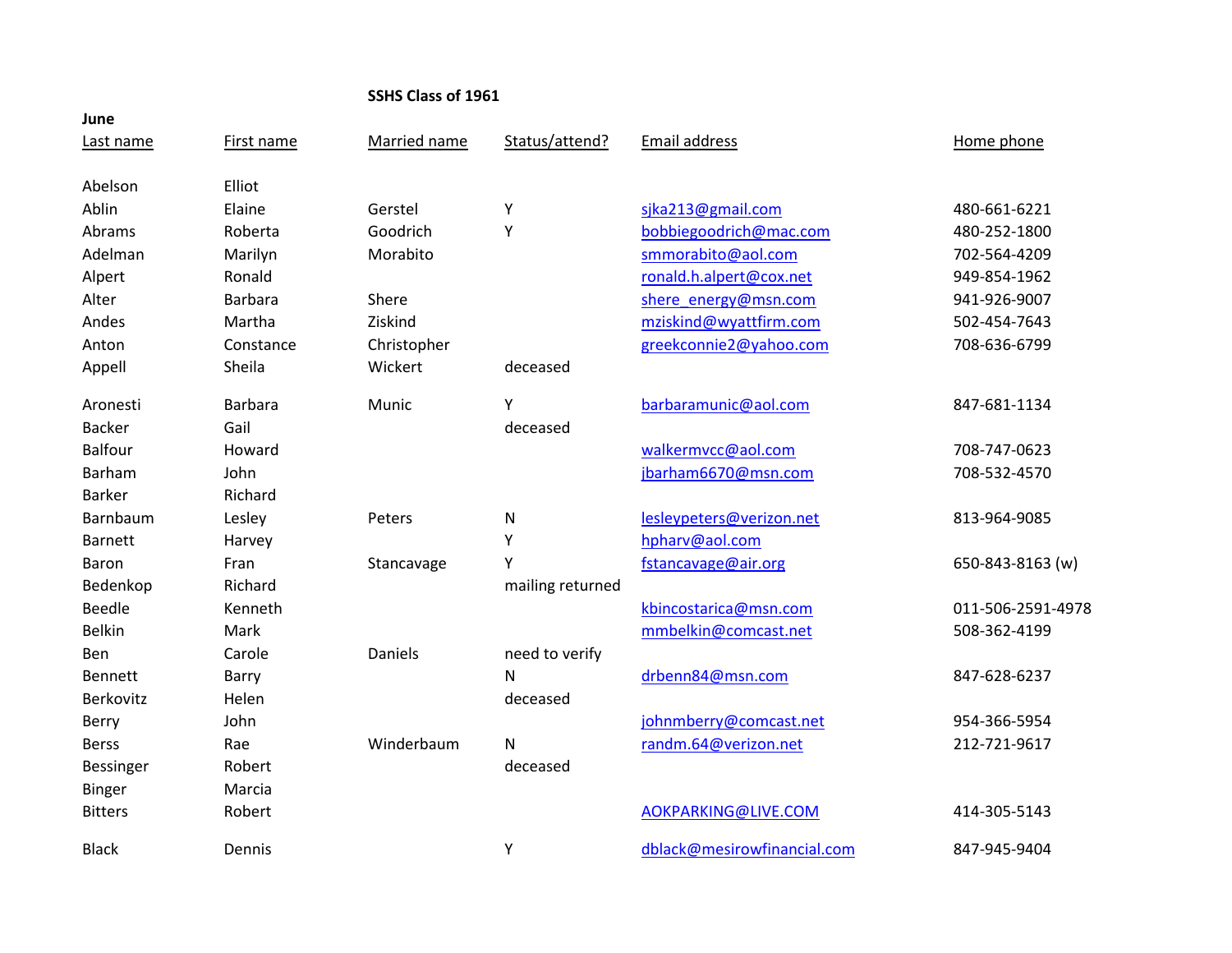# **SSHS Class of 1961**

| June           |                |              |                  |                             |                   |
|----------------|----------------|--------------|------------------|-----------------------------|-------------------|
| Last name      | First name     | Married name | Status/attend?   | Email address               | Home phone        |
| Abelson        | Elliot         |              |                  |                             |                   |
| Ablin          | Elaine         | Gerstel      | Υ                | sjka213@gmail.com           | 480-661-6221      |
| Abrams         | Roberta        | Goodrich     | Υ                | bobbiegoodrich@mac.com      | 480-252-1800      |
| Adelman        | Marilyn        | Morabito     |                  | smmorabito@aol.com          | 702-564-4209      |
| Alpert         | Ronald         |              |                  | ronald.h.alpert@cox.net     | 949-854-1962      |
| Alter          | <b>Barbara</b> | Shere        |                  | shere energy@msn.com        | 941-926-9007      |
| Andes          | Martha         | Ziskind      |                  | mziskind@wyattfirm.com      | 502-454-7643      |
| Anton          | Constance      | Christopher  |                  | greekconnie2@yahoo.com      | 708-636-6799      |
| Appell         | Sheila         | Wickert      | deceased         |                             |                   |
| Aronesti       | <b>Barbara</b> | Munic        | Υ                | barbaramunic@aol.com        | 847-681-1134      |
| <b>Backer</b>  | Gail           |              | deceased         |                             |                   |
| <b>Balfour</b> | Howard         |              |                  | walkermvcc@aol.com          | 708-747-0623      |
| Barham         | John           |              |                  | jbarham6670@msn.com         | 708-532-4570      |
| <b>Barker</b>  | Richard        |              |                  |                             |                   |
| Barnbaum       | Lesley         | Peters       | ${\sf N}$        | lesleypeters@verizon.net    | 813-964-9085      |
| <b>Barnett</b> | Harvey         |              | Υ                | hpharv@aol.com              |                   |
| Baron          | Fran           | Stancavage   | Υ                | fstancavage@air.org         | 650-843-8163 (w)  |
| Bedenkop       | Richard        |              | mailing returned |                             |                   |
| <b>Beedle</b>  | Kenneth        |              |                  | kbincostarica@msn.com       | 011-506-2591-4978 |
| <b>Belkin</b>  | Mark           |              |                  | mmbelkin@comcast.net        | 508-362-4199      |
| Ben            | Carole         | Daniels      | need to verify   |                             |                   |
| <b>Bennett</b> | Barry          |              | N                | drbenn84@msn.com            | 847-628-6237      |
| Berkovitz      | Helen          |              | deceased         |                             |                   |
| Berry          | John           |              |                  | johnmberry@comcast.net      | 954-366-5954      |
| <b>Berss</b>   | Rae            | Winderbaum   | N                | randm.64@verizon.net        | 212-721-9617      |
| Bessinger      | Robert         |              | deceased         |                             |                   |
| <b>Binger</b>  | Marcia         |              |                  |                             |                   |
| <b>Bitters</b> | Robert         |              |                  | AOKPARKING@LIVE.COM         | 414-305-5143      |
| <b>Black</b>   | Dennis         |              | Υ                | dblack@mesirowfinancial.com | 847-945-9404      |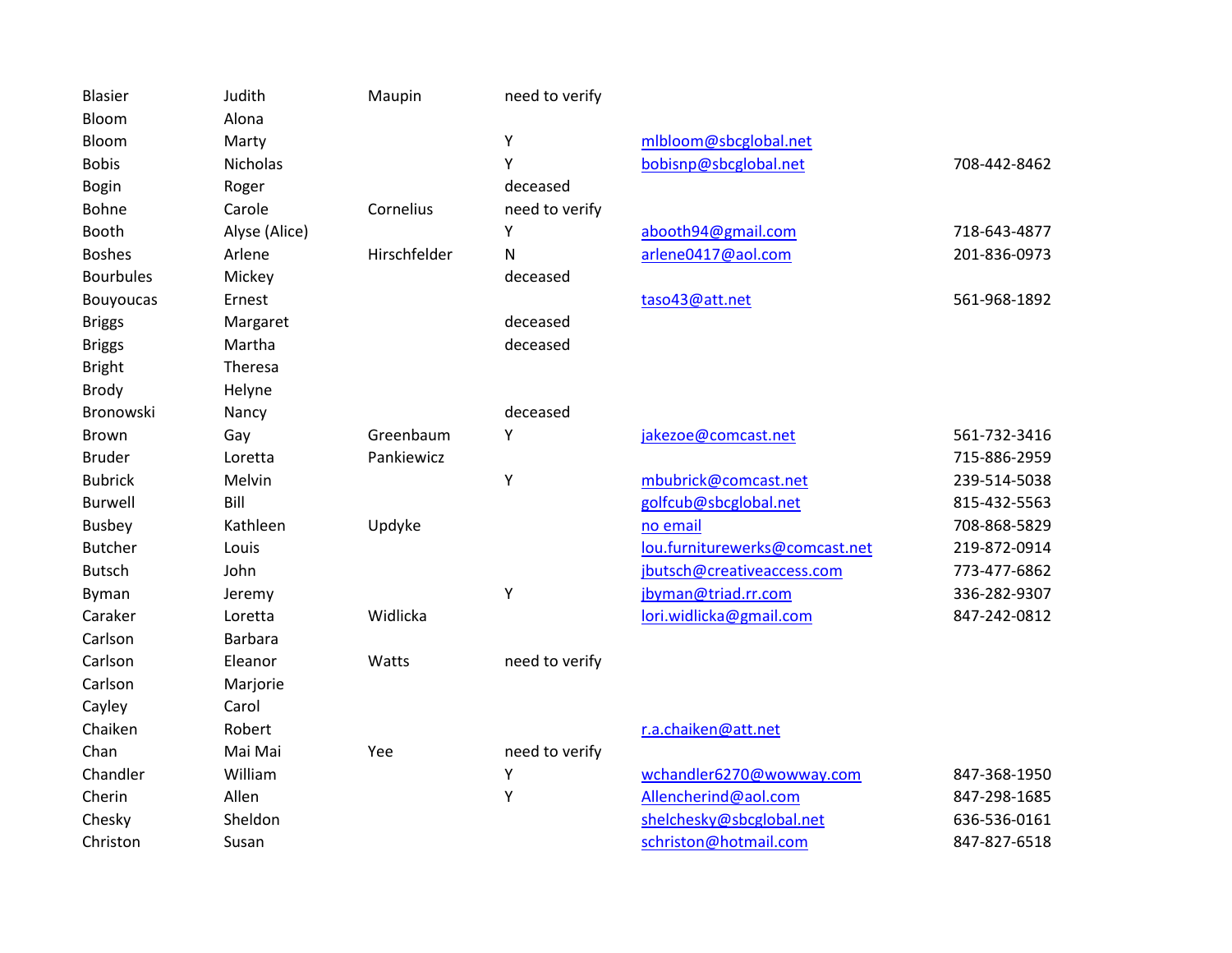| Judith<br><b>Blasier</b><br>Maupin<br>need to verify<br>Bloom<br>Alona<br>Υ<br>mlbloom@sbcglobal.net<br>Bloom<br>Marty<br>Υ<br>bobisnp@sbcglobal.net<br><b>Bobis</b><br><b>Nicholas</b><br>deceased<br><b>Bogin</b><br>Roger<br>need to verify<br>Bohne<br>Carole<br>Cornelius<br>Booth<br>Alyse (Alice)<br>Υ<br>abooth94@gmail.com<br><b>Boshes</b><br>Arlene<br>Hirschfelder<br>N<br>arlene0417@aol.com<br><b>Bourbules</b><br>Mickey<br>deceased<br>taso43@att.net<br><b>Bouyoucas</b><br>Ernest<br>deceased<br><b>Briggs</b><br>Margaret<br>deceased<br><b>Briggs</b><br>Martha<br>Theresa<br><b>Bright</b><br>Brody<br>Helyne<br>Bronowski<br>deceased<br>Nancy<br>Greenbaum<br>Υ<br>jakezoe@comcast.net<br>Brown<br>Gay<br><b>Bruder</b><br>Pankiewicz<br>Loretta<br>Υ<br><b>Bubrick</b><br>Melvin<br>mbubrick@comcast.net<br><b>Burwell</b><br>Bill<br>golfcub@sbcglobal.net<br><b>Busbey</b><br>Kathleen<br>Updyke<br>no email<br><b>Butcher</b><br>lou.furniturewerks@comcast.net<br>Louis<br>jbutsch@creativeaccess.com<br><b>Butsch</b><br>John<br>Υ<br>jbyman@triad.rr.com<br>Byman<br>Jeremy<br>Widlicka<br>lori.widlicka@gmail.com<br>Caraker<br>Loretta<br>Carlson<br>Barbara<br>Carlson<br>Eleanor<br>Watts<br>need to verify<br>Carlson<br>Marjorie<br>Cayley<br>Carol<br>Chaiken<br>Robert<br>r.a.chaiken@att.net<br>Chan<br>Mai Mai<br>Yee<br>need to verify<br>Chandler<br>William<br>wchandler6270@wowway.com<br>Υ<br>Υ<br>Allencherind@aol.com<br>Cherin<br>Allen<br>shelchesky@sbcglobal.net<br>Chesky<br>Sheldon |          |       |  |                       |              |
|------------------------------------------------------------------------------------------------------------------------------------------------------------------------------------------------------------------------------------------------------------------------------------------------------------------------------------------------------------------------------------------------------------------------------------------------------------------------------------------------------------------------------------------------------------------------------------------------------------------------------------------------------------------------------------------------------------------------------------------------------------------------------------------------------------------------------------------------------------------------------------------------------------------------------------------------------------------------------------------------------------------------------------------------------------------------------------------------------------------------------------------------------------------------------------------------------------------------------------------------------------------------------------------------------------------------------------------------------------------------------------------------------------------------------------------------------------------------------------------------------------------------------------------|----------|-------|--|-----------------------|--------------|
|                                                                                                                                                                                                                                                                                                                                                                                                                                                                                                                                                                                                                                                                                                                                                                                                                                                                                                                                                                                                                                                                                                                                                                                                                                                                                                                                                                                                                                                                                                                                          |          |       |  |                       |              |
|                                                                                                                                                                                                                                                                                                                                                                                                                                                                                                                                                                                                                                                                                                                                                                                                                                                                                                                                                                                                                                                                                                                                                                                                                                                                                                                                                                                                                                                                                                                                          |          |       |  |                       |              |
|                                                                                                                                                                                                                                                                                                                                                                                                                                                                                                                                                                                                                                                                                                                                                                                                                                                                                                                                                                                                                                                                                                                                                                                                                                                                                                                                                                                                                                                                                                                                          |          |       |  |                       |              |
|                                                                                                                                                                                                                                                                                                                                                                                                                                                                                                                                                                                                                                                                                                                                                                                                                                                                                                                                                                                                                                                                                                                                                                                                                                                                                                                                                                                                                                                                                                                                          |          |       |  |                       | 708-442-8462 |
|                                                                                                                                                                                                                                                                                                                                                                                                                                                                                                                                                                                                                                                                                                                                                                                                                                                                                                                                                                                                                                                                                                                                                                                                                                                                                                                                                                                                                                                                                                                                          |          |       |  |                       |              |
|                                                                                                                                                                                                                                                                                                                                                                                                                                                                                                                                                                                                                                                                                                                                                                                                                                                                                                                                                                                                                                                                                                                                                                                                                                                                                                                                                                                                                                                                                                                                          |          |       |  |                       |              |
|                                                                                                                                                                                                                                                                                                                                                                                                                                                                                                                                                                                                                                                                                                                                                                                                                                                                                                                                                                                                                                                                                                                                                                                                                                                                                                                                                                                                                                                                                                                                          |          |       |  |                       | 718-643-4877 |
|                                                                                                                                                                                                                                                                                                                                                                                                                                                                                                                                                                                                                                                                                                                                                                                                                                                                                                                                                                                                                                                                                                                                                                                                                                                                                                                                                                                                                                                                                                                                          |          |       |  |                       | 201-836-0973 |
|                                                                                                                                                                                                                                                                                                                                                                                                                                                                                                                                                                                                                                                                                                                                                                                                                                                                                                                                                                                                                                                                                                                                                                                                                                                                                                                                                                                                                                                                                                                                          |          |       |  |                       |              |
|                                                                                                                                                                                                                                                                                                                                                                                                                                                                                                                                                                                                                                                                                                                                                                                                                                                                                                                                                                                                                                                                                                                                                                                                                                                                                                                                                                                                                                                                                                                                          |          |       |  |                       | 561-968-1892 |
|                                                                                                                                                                                                                                                                                                                                                                                                                                                                                                                                                                                                                                                                                                                                                                                                                                                                                                                                                                                                                                                                                                                                                                                                                                                                                                                                                                                                                                                                                                                                          |          |       |  |                       |              |
|                                                                                                                                                                                                                                                                                                                                                                                                                                                                                                                                                                                                                                                                                                                                                                                                                                                                                                                                                                                                                                                                                                                                                                                                                                                                                                                                                                                                                                                                                                                                          |          |       |  |                       |              |
|                                                                                                                                                                                                                                                                                                                                                                                                                                                                                                                                                                                                                                                                                                                                                                                                                                                                                                                                                                                                                                                                                                                                                                                                                                                                                                                                                                                                                                                                                                                                          |          |       |  |                       |              |
|                                                                                                                                                                                                                                                                                                                                                                                                                                                                                                                                                                                                                                                                                                                                                                                                                                                                                                                                                                                                                                                                                                                                                                                                                                                                                                                                                                                                                                                                                                                                          |          |       |  |                       |              |
|                                                                                                                                                                                                                                                                                                                                                                                                                                                                                                                                                                                                                                                                                                                                                                                                                                                                                                                                                                                                                                                                                                                                                                                                                                                                                                                                                                                                                                                                                                                                          |          |       |  |                       |              |
|                                                                                                                                                                                                                                                                                                                                                                                                                                                                                                                                                                                                                                                                                                                                                                                                                                                                                                                                                                                                                                                                                                                                                                                                                                                                                                                                                                                                                                                                                                                                          |          |       |  |                       | 561-732-3416 |
|                                                                                                                                                                                                                                                                                                                                                                                                                                                                                                                                                                                                                                                                                                                                                                                                                                                                                                                                                                                                                                                                                                                                                                                                                                                                                                                                                                                                                                                                                                                                          |          |       |  |                       | 715-886-2959 |
|                                                                                                                                                                                                                                                                                                                                                                                                                                                                                                                                                                                                                                                                                                                                                                                                                                                                                                                                                                                                                                                                                                                                                                                                                                                                                                                                                                                                                                                                                                                                          |          |       |  |                       | 239-514-5038 |
|                                                                                                                                                                                                                                                                                                                                                                                                                                                                                                                                                                                                                                                                                                                                                                                                                                                                                                                                                                                                                                                                                                                                                                                                                                                                                                                                                                                                                                                                                                                                          |          |       |  |                       | 815-432-5563 |
|                                                                                                                                                                                                                                                                                                                                                                                                                                                                                                                                                                                                                                                                                                                                                                                                                                                                                                                                                                                                                                                                                                                                                                                                                                                                                                                                                                                                                                                                                                                                          |          |       |  |                       | 708-868-5829 |
|                                                                                                                                                                                                                                                                                                                                                                                                                                                                                                                                                                                                                                                                                                                                                                                                                                                                                                                                                                                                                                                                                                                                                                                                                                                                                                                                                                                                                                                                                                                                          |          |       |  |                       | 219-872-0914 |
|                                                                                                                                                                                                                                                                                                                                                                                                                                                                                                                                                                                                                                                                                                                                                                                                                                                                                                                                                                                                                                                                                                                                                                                                                                                                                                                                                                                                                                                                                                                                          |          |       |  |                       | 773-477-6862 |
|                                                                                                                                                                                                                                                                                                                                                                                                                                                                                                                                                                                                                                                                                                                                                                                                                                                                                                                                                                                                                                                                                                                                                                                                                                                                                                                                                                                                                                                                                                                                          |          |       |  |                       | 336-282-9307 |
|                                                                                                                                                                                                                                                                                                                                                                                                                                                                                                                                                                                                                                                                                                                                                                                                                                                                                                                                                                                                                                                                                                                                                                                                                                                                                                                                                                                                                                                                                                                                          |          |       |  |                       | 847-242-0812 |
|                                                                                                                                                                                                                                                                                                                                                                                                                                                                                                                                                                                                                                                                                                                                                                                                                                                                                                                                                                                                                                                                                                                                                                                                                                                                                                                                                                                                                                                                                                                                          |          |       |  |                       |              |
|                                                                                                                                                                                                                                                                                                                                                                                                                                                                                                                                                                                                                                                                                                                                                                                                                                                                                                                                                                                                                                                                                                                                                                                                                                                                                                                                                                                                                                                                                                                                          |          |       |  |                       |              |
|                                                                                                                                                                                                                                                                                                                                                                                                                                                                                                                                                                                                                                                                                                                                                                                                                                                                                                                                                                                                                                                                                                                                                                                                                                                                                                                                                                                                                                                                                                                                          |          |       |  |                       |              |
|                                                                                                                                                                                                                                                                                                                                                                                                                                                                                                                                                                                                                                                                                                                                                                                                                                                                                                                                                                                                                                                                                                                                                                                                                                                                                                                                                                                                                                                                                                                                          |          |       |  |                       |              |
|                                                                                                                                                                                                                                                                                                                                                                                                                                                                                                                                                                                                                                                                                                                                                                                                                                                                                                                                                                                                                                                                                                                                                                                                                                                                                                                                                                                                                                                                                                                                          |          |       |  |                       |              |
|                                                                                                                                                                                                                                                                                                                                                                                                                                                                                                                                                                                                                                                                                                                                                                                                                                                                                                                                                                                                                                                                                                                                                                                                                                                                                                                                                                                                                                                                                                                                          |          |       |  |                       |              |
|                                                                                                                                                                                                                                                                                                                                                                                                                                                                                                                                                                                                                                                                                                                                                                                                                                                                                                                                                                                                                                                                                                                                                                                                                                                                                                                                                                                                                                                                                                                                          |          |       |  |                       | 847-368-1950 |
|                                                                                                                                                                                                                                                                                                                                                                                                                                                                                                                                                                                                                                                                                                                                                                                                                                                                                                                                                                                                                                                                                                                                                                                                                                                                                                                                                                                                                                                                                                                                          |          |       |  |                       | 847-298-1685 |
|                                                                                                                                                                                                                                                                                                                                                                                                                                                                                                                                                                                                                                                                                                                                                                                                                                                                                                                                                                                                                                                                                                                                                                                                                                                                                                                                                                                                                                                                                                                                          |          |       |  |                       | 636-536-0161 |
|                                                                                                                                                                                                                                                                                                                                                                                                                                                                                                                                                                                                                                                                                                                                                                                                                                                                                                                                                                                                                                                                                                                                                                                                                                                                                                                                                                                                                                                                                                                                          | Christon | Susan |  | schriston@hotmail.com | 847-827-6518 |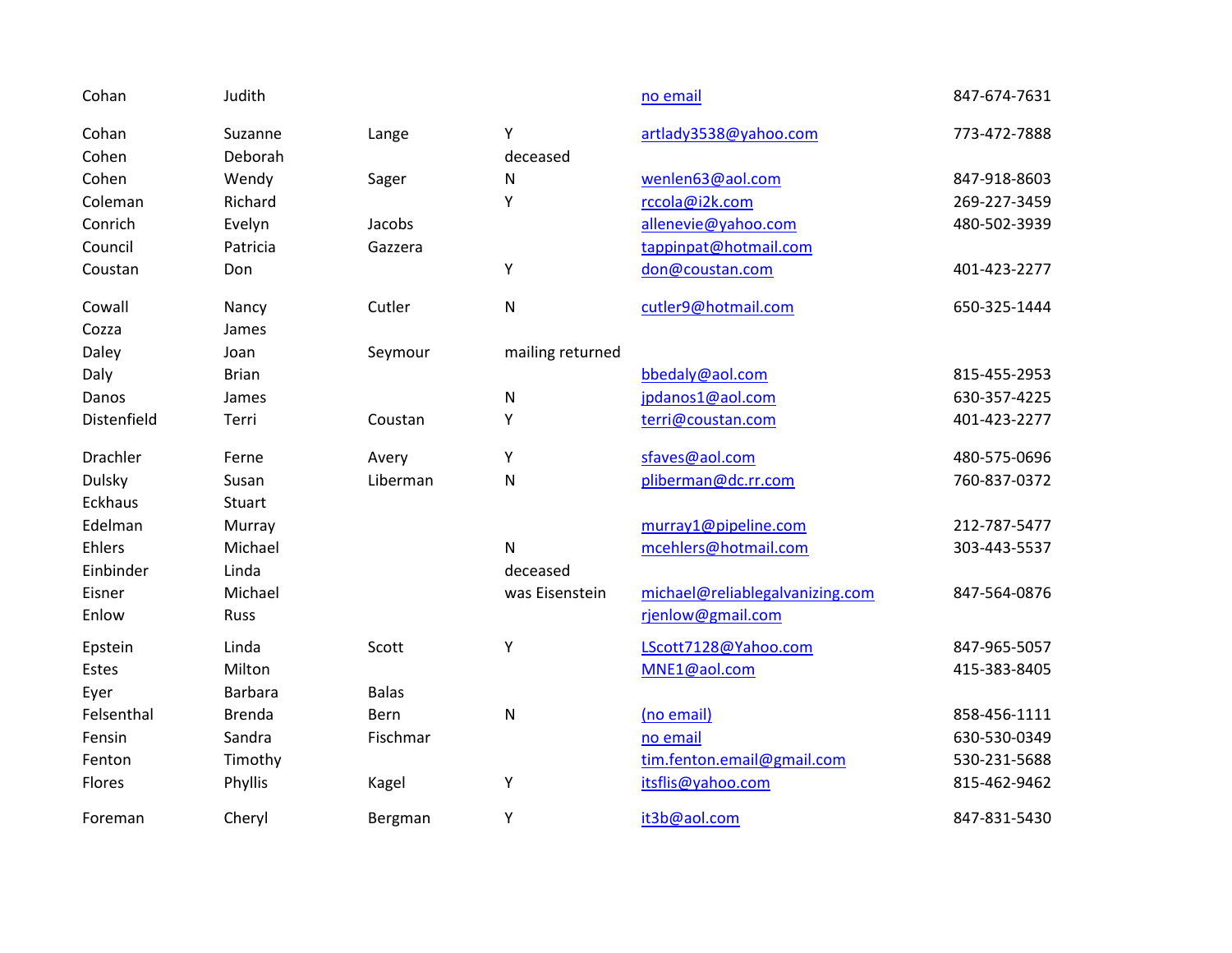| Cohan          | Judith         |              |                  | no email                        | 847-674-7631 |
|----------------|----------------|--------------|------------------|---------------------------------|--------------|
| Cohan          | Suzanne        | Lange        | Υ                | artlady3538@yahoo.com           | 773-472-7888 |
| Cohen          | Deborah        |              | deceased         |                                 |              |
| Cohen          | Wendy          | Sager        | N                | wenlen63@aol.com                | 847-918-8603 |
| Coleman        | Richard        |              | Υ                | rccola@i2k.com                  | 269-227-3459 |
| Conrich        | Evelyn         | Jacobs       |                  | allenevie@yahoo.com             | 480-502-3939 |
| Council        | Patricia       | Gazzera      |                  | tappinpat@hotmail.com           |              |
| Coustan        | Don            |              | Υ                | don@coustan.com                 | 401-423-2277 |
| Cowall         | Nancy          | Cutler       | ${\sf N}$        | cutler9@hotmail.com             | 650-325-1444 |
| Cozza          | James          |              |                  |                                 |              |
| Daley          | Joan           | Seymour      | mailing returned |                                 |              |
| Daly           | <b>Brian</b>   |              |                  | bbedaly@aol.com                 | 815-455-2953 |
| Danos          | James          |              | N                | jpdanos1@aol.com                | 630-357-4225 |
| Distenfield    | Terri          | Coustan      | Υ                | terri@coustan.com               | 401-423-2277 |
| Drachler       | Ferne          | Avery        | Y                | sfaves@aol.com                  | 480-575-0696 |
| <b>Dulsky</b>  | Susan          | Liberman     | N                | pliberman@dc.rr.com             | 760-837-0372 |
| <b>Eckhaus</b> | Stuart         |              |                  |                                 |              |
| Edelman        | Murray         |              |                  | murray1@pipeline.com            | 212-787-5477 |
| Ehlers         | Michael        |              | $\mathsf{N}$     | mcehlers@hotmail.com            | 303-443-5537 |
| Einbinder      | Linda          |              | deceased         |                                 |              |
| Eisner         | Michael        |              | was Eisenstein   | michael@reliablegalvanizing.com | 847-564-0876 |
| Enlow          | <b>Russ</b>    |              |                  | rjenlow@gmail.com               |              |
| Epstein        | Linda          | Scott        | Υ                | LScott7128@Yahoo.com            | 847-965-5057 |
| Estes          | Milton         |              |                  | MNE1@aol.com                    | 415-383-8405 |
| Eyer           | <b>Barbara</b> | <b>Balas</b> |                  |                                 |              |
| Felsenthal     | <b>Brenda</b>  | Bern         | $\mathsf{N}$     | (no email)                      | 858-456-1111 |
| Fensin         | Sandra         | Fischmar     |                  | no email                        | 630-530-0349 |
| Fenton         | Timothy        |              |                  | tim.fenton.email@gmail.com      | 530-231-5688 |
| Flores         | Phyllis        | Kagel        | Υ                | itsflis@yahoo.com               | 815-462-9462 |
| Foreman        | Cheryl         | Bergman      | Υ                | it3b@aol.com                    | 847-831-5430 |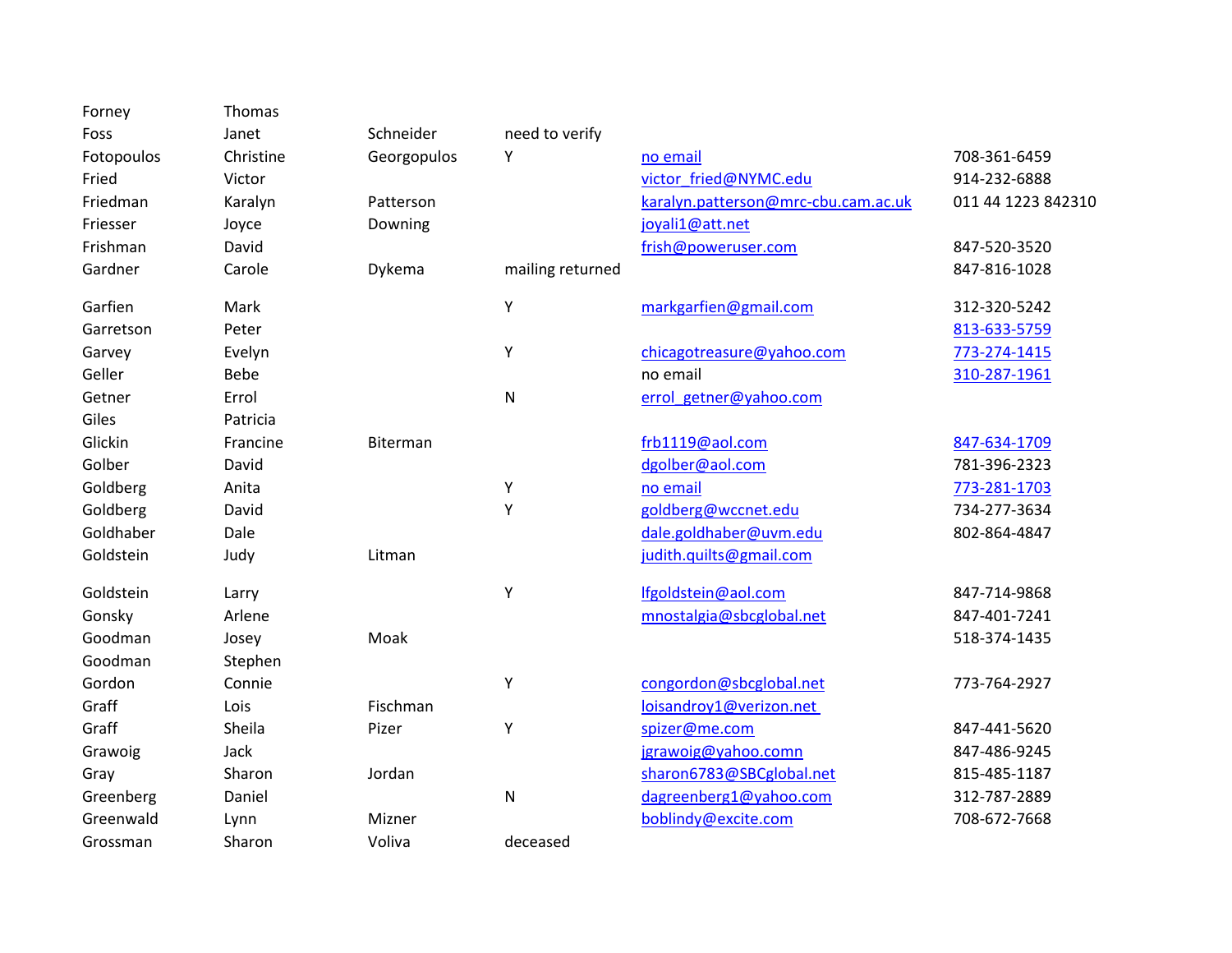| Forney     | Thomas      |             |                  |                                     |                    |
|------------|-------------|-------------|------------------|-------------------------------------|--------------------|
| Foss       | Janet       | Schneider   | need to verify   |                                     |                    |
| Fotopoulos | Christine   | Georgopulos | Υ                | no email                            | 708-361-6459       |
| Fried      | Victor      |             |                  | victor fried@NYMC.edu               | 914-232-6888       |
| Friedman   | Karalyn     | Patterson   |                  | karalyn.patterson@mrc-cbu.cam.ac.uk | 011 44 1223 842310 |
| Friesser   | Joyce       | Downing     |                  | joyali1@att.net                     |                    |
| Frishman   | David       |             |                  | frish@poweruser.com                 | 847-520-3520       |
| Gardner    | Carole      | Dykema      | mailing returned |                                     | 847-816-1028       |
| Garfien    | Mark        |             | Y                | markgarfien@gmail.com               | 312-320-5242       |
| Garretson  | Peter       |             |                  |                                     | 813-633-5759       |
| Garvey     | Evelyn      |             | Υ                | chicagotreasure@yahoo.com           | 773-274-1415       |
| Geller     | <b>Bebe</b> |             |                  | no email                            | 310-287-1961       |
| Getner     | Errol       |             | N                | errol_getner@yahoo.com              |                    |
| Giles      | Patricia    |             |                  |                                     |                    |
| Glickin    | Francine    | Biterman    |                  | frb1119@aol.com                     | 847-634-1709       |
| Golber     | David       |             |                  | dgolber@aol.com                     | 781-396-2323       |
| Goldberg   | Anita       |             | Υ                | no email                            | 773-281-1703       |
| Goldberg   | David       |             | Y                | goldberg@wccnet.edu                 | 734-277-3634       |
| Goldhaber  | Dale        |             |                  | dale.goldhaber@uvm.edu              | 802-864-4847       |
| Goldstein  | Judy        | Litman      |                  | judith.quilts@gmail.com             |                    |
| Goldstein  | Larry       |             | Υ                | lfgoldstein@aol.com                 | 847-714-9868       |
| Gonsky     | Arlene      |             |                  | mnostalgia@sbcglobal.net            | 847-401-7241       |
| Goodman    | Josey       | Moak        |                  |                                     | 518-374-1435       |
| Goodman    | Stephen     |             |                  |                                     |                    |
| Gordon     | Connie      |             | Υ                | congordon@sbcglobal.net             | 773-764-2927       |
| Graff      | Lois        | Fischman    |                  | loisandroy1@verizon.net             |                    |
| Graff      | Sheila      | Pizer       | Υ                | spizer@me.com                       | 847-441-5620       |
| Grawoig    | Jack        |             |                  | jgrawoig@yahoo.comn                 | 847-486-9245       |
| Gray       | Sharon      | Jordan      |                  | sharon6783@SBCglobal.net            | 815-485-1187       |
| Greenberg  | Daniel      |             | N                | dagreenberg1@yahoo.com              | 312-787-2889       |
| Greenwald  | Lynn        | Mizner      |                  | boblindy@excite.com                 | 708-672-7668       |
| Grossman   | Sharon      | Voliva      | deceased         |                                     |                    |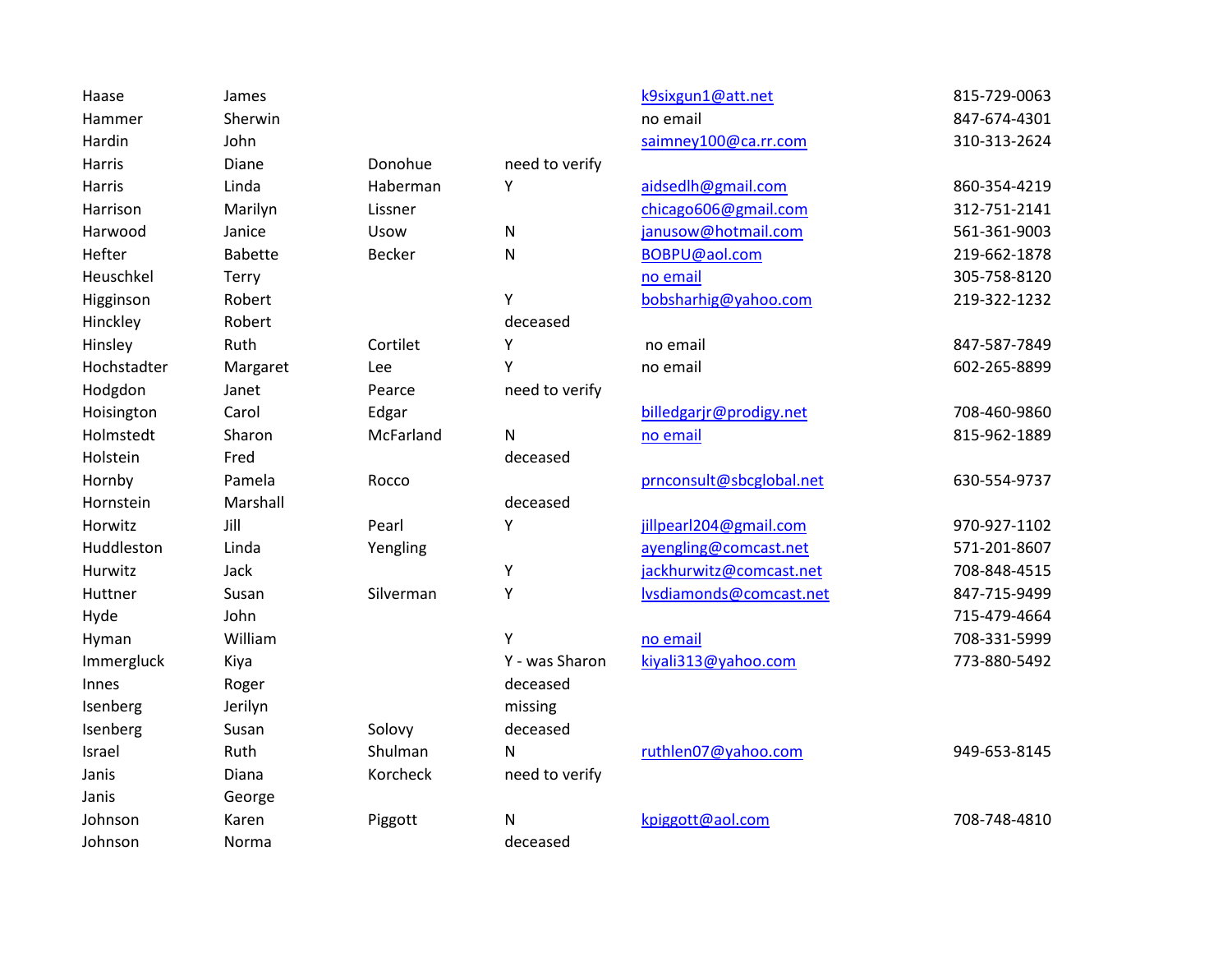| Haase       | James          |               |                | k9sixgun1@att.net        | 815-729-0063 |
|-------------|----------------|---------------|----------------|--------------------------|--------------|
| Hammer      | Sherwin        |               |                | no email                 | 847-674-4301 |
| Hardin      | John           |               |                | saimney100@ca.rr.com     | 310-313-2624 |
| Harris      | Diane          | Donohue       | need to verify |                          |              |
| Harris      | Linda          | Haberman      | Υ              | aidsedlh@gmail.com       | 860-354-4219 |
| Harrison    | Marilyn        | Lissner       |                | chicago606@gmail.com     | 312-751-2141 |
| Harwood     | Janice         | Usow          | N              | janusow@hotmail.com      | 561-361-9003 |
| Hefter      | <b>Babette</b> | <b>Becker</b> | N              | BOBPU@aol.com            | 219-662-1878 |
| Heuschkel   | Terry          |               |                | no email                 | 305-758-8120 |
| Higginson   | Robert         |               | Υ              | bobsharhig@yahoo.com     | 219-322-1232 |
| Hinckley    | Robert         |               | deceased       |                          |              |
| Hinsley     | Ruth           | Cortilet      | Υ              | no email                 | 847-587-7849 |
| Hochstadter | Margaret       | Lee           | Y              | no email                 | 602-265-8899 |
| Hodgdon     | Janet          | Pearce        | need to verify |                          |              |
| Hoisington  | Carol          | Edgar         |                | billedgarjr@prodigy.net  | 708-460-9860 |
| Holmstedt   | Sharon         | McFarland     | N              | no email                 | 815-962-1889 |
| Holstein    | Fred           |               | deceased       |                          |              |
| Hornby      | Pamela         | Rocco         |                | prnconsult@sbcglobal.net | 630-554-9737 |
| Hornstein   | Marshall       |               | deceased       |                          |              |
| Horwitz     | Jill           | Pearl         | Υ              | jillpearl204@gmail.com   | 970-927-1102 |
| Huddleston  | Linda          | Yengling      |                | ayengling@comcast.net    | 571-201-8607 |
| Hurwitz     | Jack           |               | Υ              | jackhurwitz@comcast.net  | 708-848-4515 |
| Huttner     | Susan          | Silverman     | Υ              | lvsdiamonds@comcast.net  | 847-715-9499 |
| Hyde        | John           |               |                |                          | 715-479-4664 |
| Hyman       | William        |               | Y              | no email                 | 708-331-5999 |
| Immergluck  | Kiya           |               | Y - was Sharon | kiyali313@yahoo.com      | 773-880-5492 |
| Innes       | Roger          |               | deceased       |                          |              |
| Isenberg    | Jerilyn        |               | missing        |                          |              |
| Isenberg    | Susan          | Solovy        | deceased       |                          |              |
| Israel      | Ruth           | Shulman       | N              | ruthlen07@yahoo.com      | 949-653-8145 |
| Janis       | Diana          | Korcheck      | need to verify |                          |              |
| Janis       | George         |               |                |                          |              |
| Johnson     | Karen          | Piggott       | N              | kpiggott@aol.com         | 708-748-4810 |
| Johnson     | Norma          |               | deceased       |                          |              |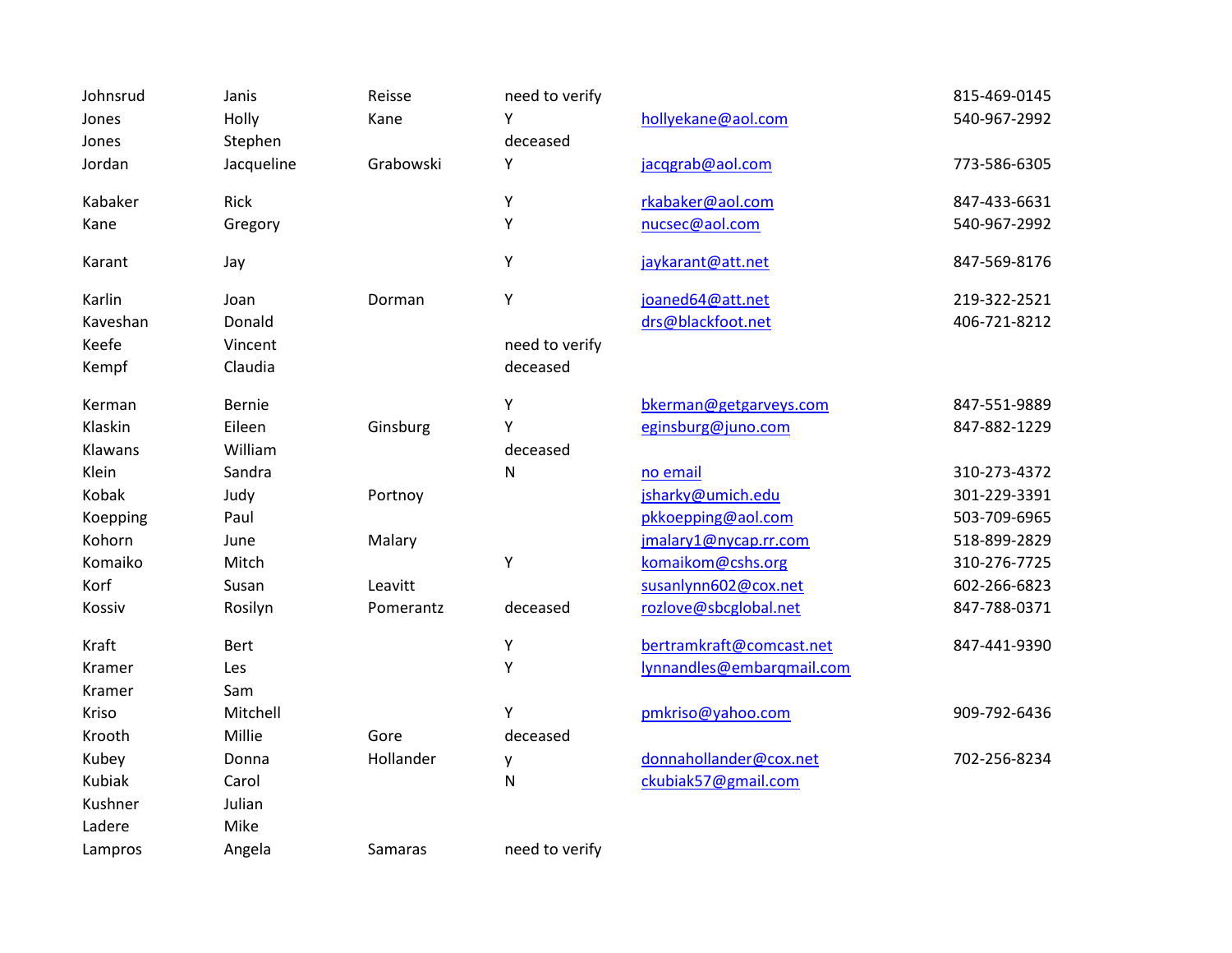| Johnsrud      | Janis       | Reisse    | need to verify |                           | 815-469-0145 |
|---------------|-------------|-----------|----------------|---------------------------|--------------|
| Jones         | Holly       | Kane      | Υ              | hollyekane@aol.com        | 540-967-2992 |
| Jones         | Stephen     |           | deceased       |                           |              |
| Jordan        | Jacqueline  | Grabowski | Υ              | jacqgrab@aol.com          | 773-586-6305 |
| Kabaker       | Rick        |           | Υ              | rkabaker@aol.com          | 847-433-6631 |
| Kane          | Gregory     |           | Υ              | nucsec@aol.com            | 540-967-2992 |
| Karant        | Jay         |           | Υ              | jaykarant@att.net         | 847-569-8176 |
| Karlin        | Joan        | Dorman    | Υ              | joaned64@att.net          | 219-322-2521 |
| Kaveshan      | Donald      |           |                | drs@blackfoot.net         | 406-721-8212 |
| Keefe         | Vincent     |           | need to verify |                           |              |
| Kempf         | Claudia     |           | deceased       |                           |              |
| Kerman        | Bernie      |           | Υ              | bkerman@getgarveys.com    | 847-551-9889 |
| Klaskin       | Eileen      | Ginsburg  | Y              | eginsburg@juno.com        | 847-882-1229 |
| Klawans       | William     |           | deceased       |                           |              |
| Klein         | Sandra      |           | ${\sf N}$      | no email                  | 310-273-4372 |
| Kobak         | Judy        | Portnoy   |                | jsharky@umich.edu         | 301-229-3391 |
| Koepping      | Paul        |           |                | pkkoepping@aol.com        | 503-709-6965 |
| Kohorn        | June        | Malary    |                | jmalary1@nycap.rr.com     | 518-899-2829 |
| Komaiko       | Mitch       |           | Υ              | komaikom@cshs.org         | 310-276-7725 |
| Korf          | Susan       | Leavitt   |                | susanlynn602@cox.net      | 602-266-6823 |
| Kossiv        | Rosilyn     | Pomerantz | deceased       | rozlove@sbcglobal.net     | 847-788-0371 |
| Kraft         | <b>Bert</b> |           | Υ              | bertramkraft@comcast.net  | 847-441-9390 |
| Kramer        | Les         |           | Υ              | lynnandles@embarqmail.com |              |
| Kramer        | Sam         |           |                |                           |              |
| Kriso         | Mitchell    |           | Y              | pmkriso@yahoo.com         | 909-792-6436 |
| Krooth        | Millie      | Gore      | deceased       |                           |              |
| Kubey         | Donna       | Hollander | у              | donnahollander@cox.net    | 702-256-8234 |
| <b>Kubiak</b> | Carol       |           | ${\sf N}$      | ckubiak57@gmail.com       |              |
| Kushner       | Julian      |           |                |                           |              |
| Ladere        | Mike        |           |                |                           |              |
| Lampros       | Angela      | Samaras   | need to verify |                           |              |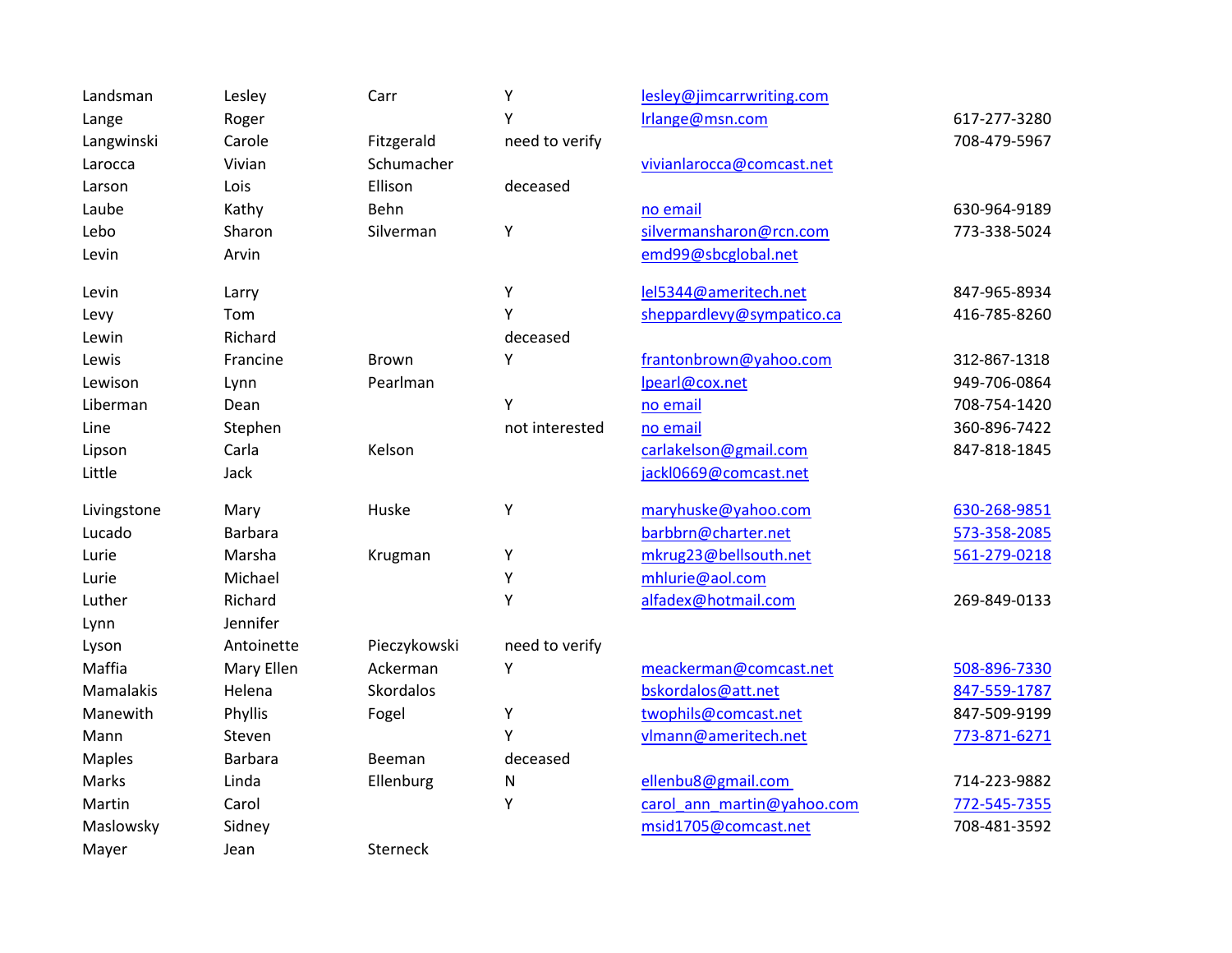| Landsman      | Lesley         | Carr             | Υ              | lesley@jimcarrwriting.com  |              |
|---------------|----------------|------------------|----------------|----------------------------|--------------|
| Lange         | Roger          |                  | Υ              | Irlange@msn.com            | 617-277-3280 |
| Langwinski    | Carole         | Fitzgerald       | need to verify |                            | 708-479-5967 |
| Larocca       | Vivian         | Schumacher       |                | vivianlarocca@comcast.net  |              |
| Larson        | Lois           | Ellison          | deceased       |                            |              |
| Laube         | Kathy          | Behn             |                | no email                   | 630-964-9189 |
| Lebo          | Sharon         | Silverman        | Υ              | silvermansharon@rcn.com    | 773-338-5024 |
| Levin         | Arvin          |                  |                | emd99@sbcglobal.net        |              |
| Levin         | Larry          |                  | Υ              | lel5344@ameritech.net      | 847-965-8934 |
| Levy          | Tom            |                  | Υ              | sheppardlevy@sympatico.ca  | 416-785-8260 |
| Lewin         | Richard        |                  | deceased       |                            |              |
| Lewis         | Francine       | <b>Brown</b>     | Υ              | frantonbrown@yahoo.com     | 312-867-1318 |
| Lewison       | Lynn           | Pearlman         |                | lpearl@cox.net             | 949-706-0864 |
| Liberman      | Dean           |                  | Y              | no email                   | 708-754-1420 |
| Line          | Stephen        |                  | not interested | no email                   | 360-896-7422 |
| Lipson        | Carla          | Kelson           |                | carlakelson@gmail.com      | 847-818-1845 |
| Little        | Jack           |                  |                | jackl0669@comcast.net      |              |
| Livingstone   | Mary           | Huske            | Υ              | maryhuske@yahoo.com        | 630-268-9851 |
| Lucado        | <b>Barbara</b> |                  |                | barbbrn@charter.net        | 573-358-2085 |
| Lurie         | Marsha         | Krugman          | Υ              | mkrug23@bellsouth.net      | 561-279-0218 |
| Lurie         | Michael        |                  | Υ              | mhlurie@aol.com            |              |
| Luther        | Richard        |                  | Y              | alfadex@hotmail.com        | 269-849-0133 |
| Lynn          | Jennifer       |                  |                |                            |              |
| Lyson         | Antoinette     | Pieczykowski     | need to verify |                            |              |
| Maffia        | Mary Ellen     | Ackerman         | Υ              | meackerman@comcast.net     | 508-896-7330 |
| Mamalakis     | Helena         | <b>Skordalos</b> |                | bskordalos@att.net         | 847-559-1787 |
| Manewith      | Phyllis        | Fogel            | Υ              | twophils@comcast.net       | 847-509-9199 |
| Mann          | Steven         |                  | Y              | vlmann@ameritech.net       | 773-871-6271 |
| <b>Maples</b> | Barbara        | Beeman           | deceased       |                            |              |
| Marks         | Linda          | Ellenburg        | Ν              | ellenbu8@gmail.com         | 714-223-9882 |
| Martin        | Carol          |                  | Υ              | carol ann martin@yahoo.com | 772-545-7355 |
| Maslowsky     | Sidney         |                  |                | msid1705@comcast.net       | 708-481-3592 |
| Mayer         | Jean           | Sterneck         |                |                            |              |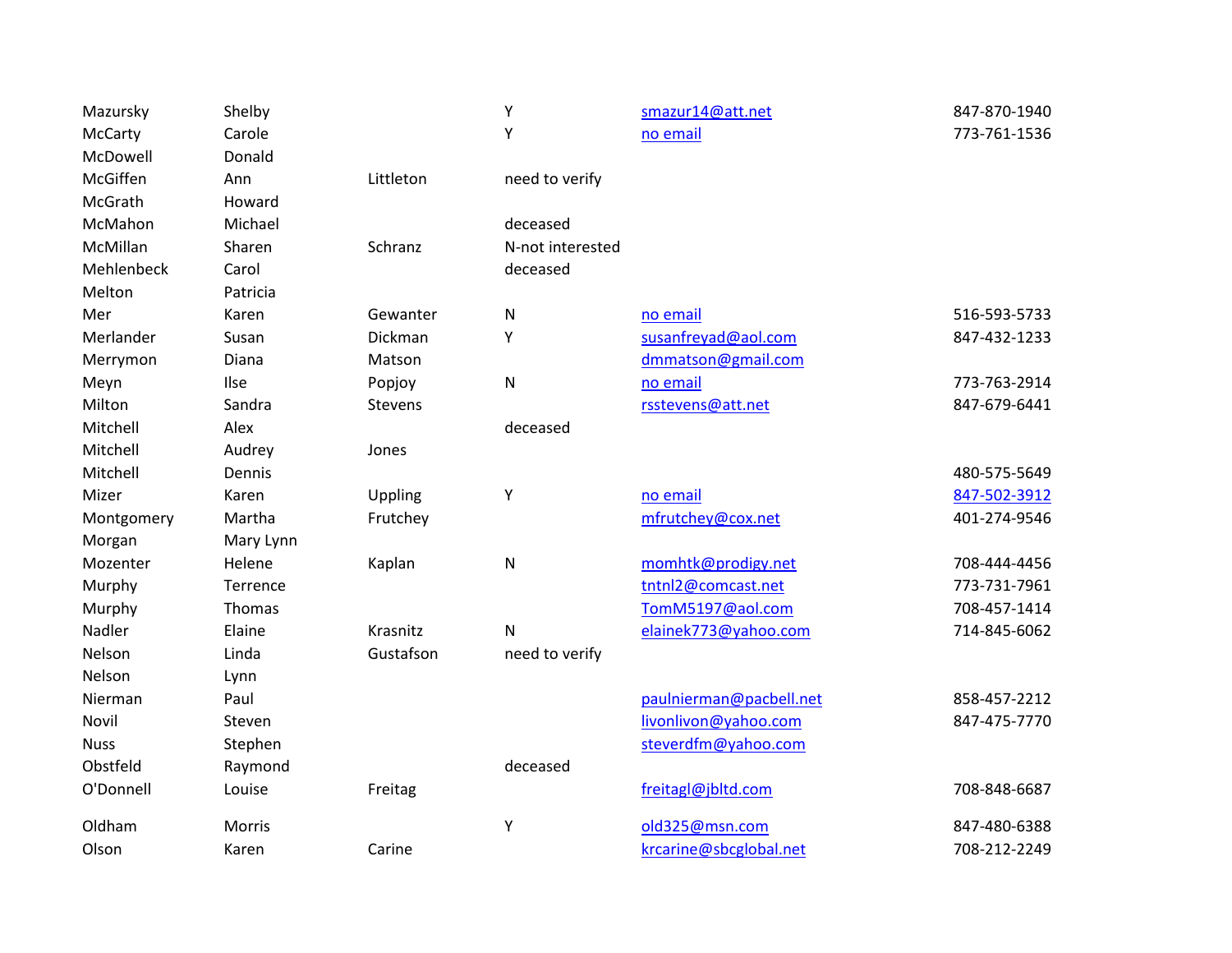| Mazursky    | Shelby    |                | Υ                | smazur14@att.net        | 847-870-1940 |
|-------------|-----------|----------------|------------------|-------------------------|--------------|
| McCarty     | Carole    |                | Υ                | no email                | 773-761-1536 |
| McDowell    | Donald    |                |                  |                         |              |
| McGiffen    | Ann       | Littleton      | need to verify   |                         |              |
| McGrath     | Howard    |                |                  |                         |              |
| McMahon     | Michael   |                | deceased         |                         |              |
| McMillan    | Sharen    | Schranz        | N-not interested |                         |              |
| Mehlenbeck  | Carol     |                | deceased         |                         |              |
| Melton      | Patricia  |                |                  |                         |              |
| Mer         | Karen     | Gewanter       | ${\sf N}$        | no email                | 516-593-5733 |
| Merlander   | Susan     | Dickman        | Υ                | susanfreyad@aol.com     | 847-432-1233 |
| Merrymon    | Diana     | Matson         |                  | dmmatson@gmail.com      |              |
| Meyn        | Ilse      | Popjoy         | ${\sf N}$        | no email                | 773-763-2914 |
| Milton      | Sandra    | <b>Stevens</b> |                  | rsstevens@att.net       | 847-679-6441 |
| Mitchell    | Alex      |                | deceased         |                         |              |
| Mitchell    | Audrey    | Jones          |                  |                         |              |
| Mitchell    | Dennis    |                |                  |                         | 480-575-5649 |
| Mizer       | Karen     | Uppling        | Υ                | no email                | 847-502-3912 |
| Montgomery  | Martha    | Frutchey       |                  | mfrutchey@cox.net       | 401-274-9546 |
| Morgan      | Mary Lynn |                |                  |                         |              |
| Mozenter    | Helene    | Kaplan         | ${\sf N}$        | momhtk@prodigy.net      | 708-444-4456 |
| Murphy      | Terrence  |                |                  | tntnl2@comcast.net      | 773-731-7961 |
| Murphy      | Thomas    |                |                  | TomM5197@aol.com        | 708-457-1414 |
| Nadler      | Elaine    | Krasnitz       | ${\sf N}$        | elainek773@yahoo.com    | 714-845-6062 |
| Nelson      | Linda     | Gustafson      | need to verify   |                         |              |
| Nelson      | Lynn      |                |                  |                         |              |
| Nierman     | Paul      |                |                  | paulnierman@pacbell.net | 858-457-2212 |
| Novil       | Steven    |                |                  | livonlivon@yahoo.com    | 847-475-7770 |
| <b>Nuss</b> | Stephen   |                |                  | steverdfm@yahoo.com     |              |
| Obstfeld    | Raymond   |                | deceased         |                         |              |
| O'Donnell   | Louise    | Freitag        |                  | freitagl@jbltd.com      | 708-848-6687 |
| Oldham      | Morris    |                | Υ                | old325@msn.com          | 847-480-6388 |
| Olson       | Karen     | Carine         |                  | krcarine@sbcglobal.net  | 708-212-2249 |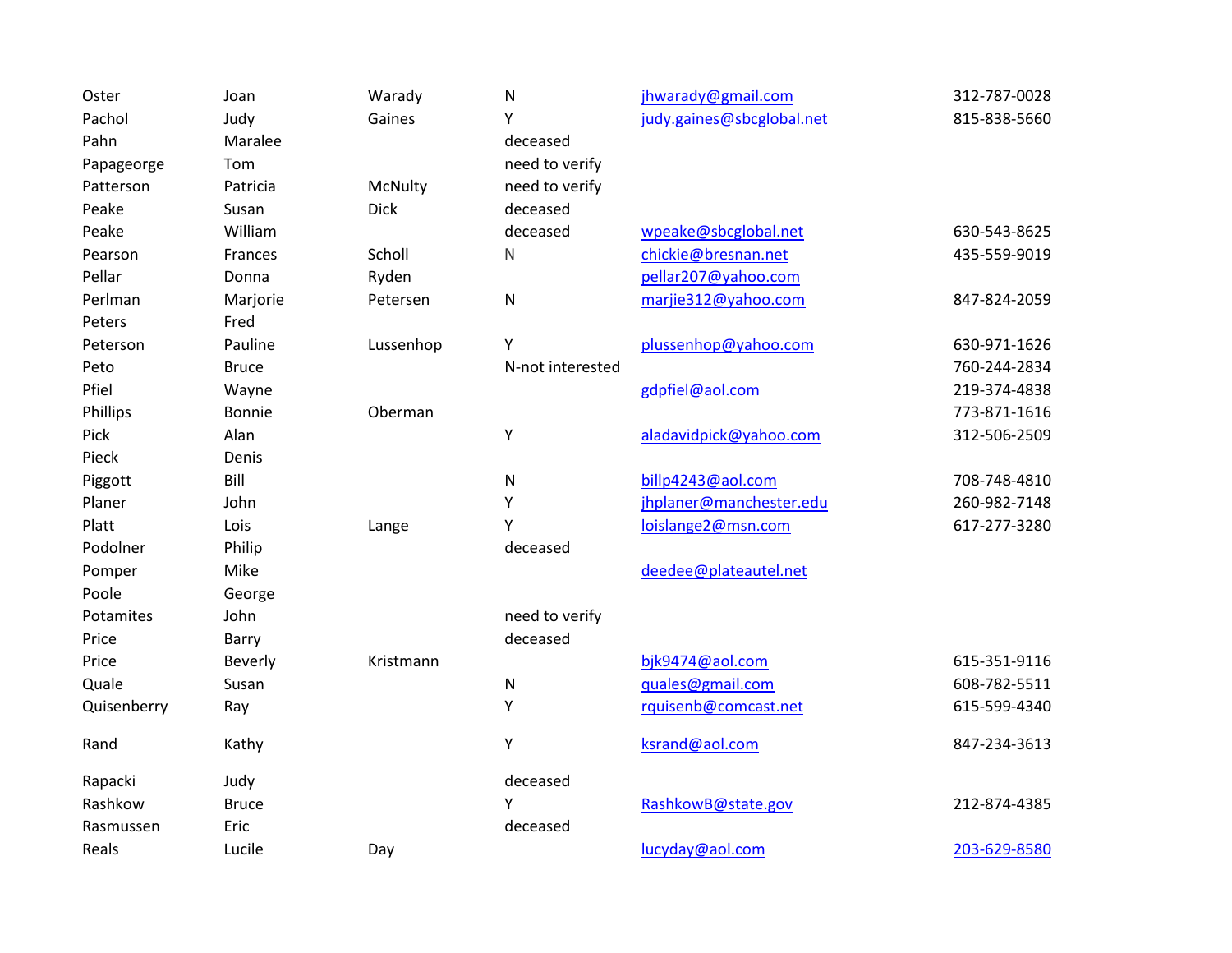| Oster       | Joan           | Warady      | ${\sf N}$        | jhwarady@gmail.com        | 312-787-0028 |
|-------------|----------------|-------------|------------------|---------------------------|--------------|
| Pachol      | Judy           | Gaines      | Υ                | judy.gaines@sbcglobal.net | 815-838-5660 |
| Pahn        | Maralee        |             | deceased         |                           |              |
| Papageorge  | Tom            |             | need to verify   |                           |              |
| Patterson   | Patricia       | McNulty     | need to verify   |                           |              |
| Peake       | Susan          | <b>Dick</b> | deceased         |                           |              |
| Peake       | William        |             | deceased         | wpeake@sbcglobal.net      | 630-543-8625 |
| Pearson     | Frances        | Scholl      | N                | chickie@bresnan.net       | 435-559-9019 |
| Pellar      | Donna          | Ryden       |                  | pellar207@yahoo.com       |              |
| Perlman     | Marjorie       | Petersen    | ${\sf N}$        | marjie312@yahoo.com       | 847-824-2059 |
| Peters      | Fred           |             |                  |                           |              |
| Peterson    | Pauline        | Lussenhop   | Υ                | plussenhop@yahoo.com      | 630-971-1626 |
| Peto        | <b>Bruce</b>   |             | N-not interested |                           | 760-244-2834 |
| Pfiel       | Wayne          |             |                  | gdpfiel@aol.com           | 219-374-4838 |
| Phillips    | Bonnie         | Oberman     |                  |                           | 773-871-1616 |
| Pick        | Alan           |             | Υ                | aladavidpick@yahoo.com    | 312-506-2509 |
| Pieck       | Denis          |             |                  |                           |              |
| Piggott     | Bill           |             | ${\sf N}$        | billp4243@aol.com         | 708-748-4810 |
| Planer      | John           |             | Υ                | jhplaner@manchester.edu   | 260-982-7148 |
| Platt       | Lois           | Lange       | Y                | loislange2@msn.com        | 617-277-3280 |
| Podolner    | Philip         |             | deceased         |                           |              |
| Pomper      | Mike           |             |                  | deedee@plateautel.net     |              |
| Poole       | George         |             |                  |                           |              |
| Potamites   | John           |             | need to verify   |                           |              |
| Price       | Barry          |             | deceased         |                           |              |
| Price       | <b>Beverly</b> | Kristmann   |                  | bjk9474@aol.com           | 615-351-9116 |
| Quale       | Susan          |             | ${\sf N}$        | quales@gmail.com          | 608-782-5511 |
| Quisenberry | Ray            |             | Υ                | rquisenb@comcast.net      | 615-599-4340 |
| Rand        | Kathy          |             | Υ                | ksrand@aol.com            | 847-234-3613 |
| Rapacki     | Judy           |             | deceased         |                           |              |
| Rashkow     | <b>Bruce</b>   |             | Υ                | RashkowB@state.gov        | 212-874-4385 |
| Rasmussen   | Eric           |             | deceased         |                           |              |
| Reals       | Lucile         | Day         |                  | lucyday@aol.com           | 203-629-8580 |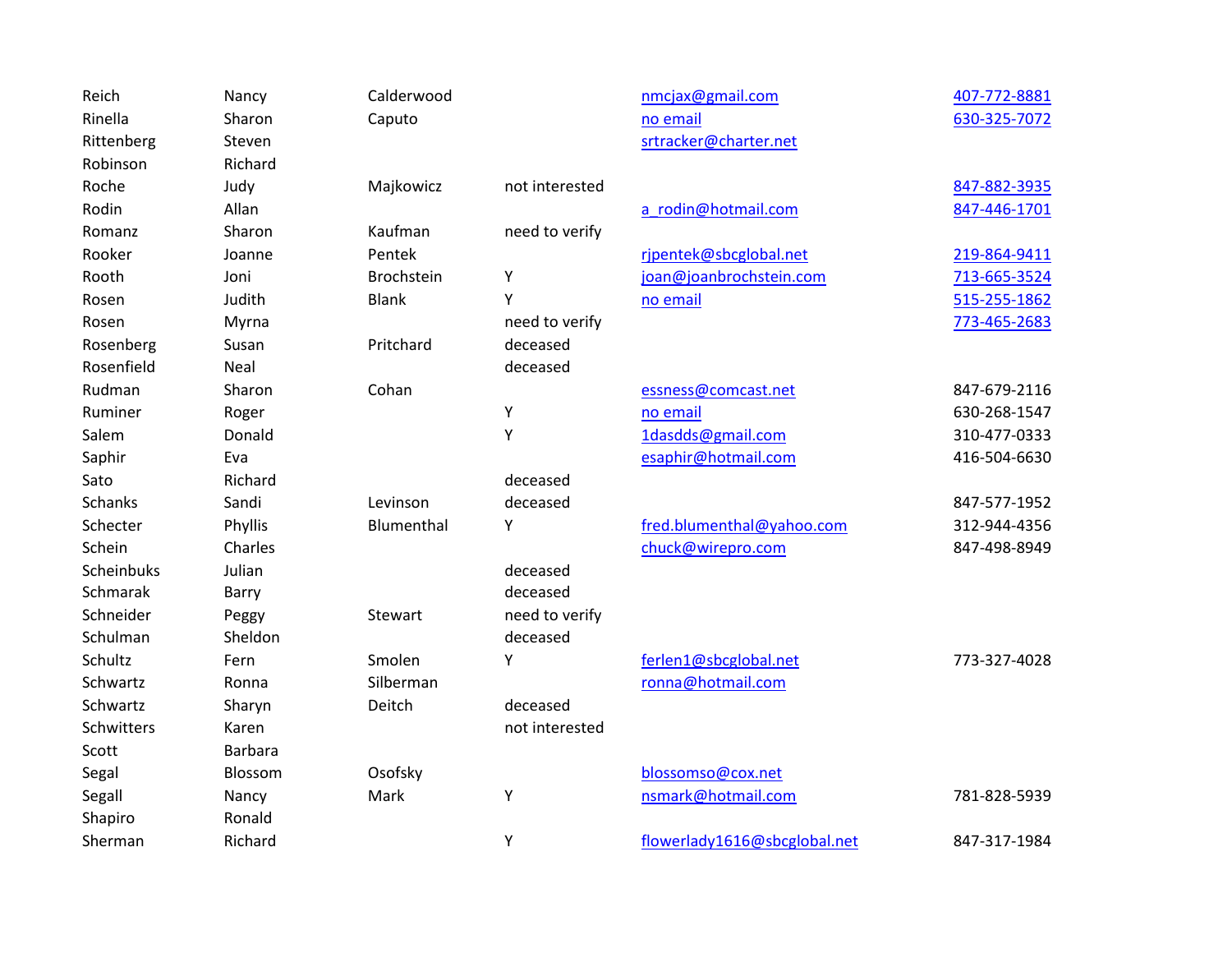| Reich          | Nancy          | Calderwood        |                | nmcjax@gmail.com             | 407-772-8881 |
|----------------|----------------|-------------------|----------------|------------------------------|--------------|
| Rinella        | Sharon         | Caputo            |                | no email                     | 630-325-7072 |
| Rittenberg     | Steven         |                   |                | srtracker@charter.net        |              |
| Robinson       | Richard        |                   |                |                              |              |
| Roche          | Judy           | Majkowicz         | not interested |                              | 847-882-3935 |
| Rodin          | Allan          |                   |                | a rodin@hotmail.com          | 847-446-1701 |
| Romanz         | Sharon         | Kaufman           | need to verify |                              |              |
| Rooker         | Joanne         | Pentek            |                | rjpentek@sbcglobal.net       | 219-864-9411 |
| Rooth          | Joni           | <b>Brochstein</b> | Υ              | joan@joanbrochstein.com      | 713-665-3524 |
| Rosen          | Judith         | <b>Blank</b>      | Y              | no email                     | 515-255-1862 |
| Rosen          | Myrna          |                   | need to verify |                              | 773-465-2683 |
| Rosenberg      | Susan          | Pritchard         | deceased       |                              |              |
| Rosenfield     | Neal           |                   | deceased       |                              |              |
| Rudman         | Sharon         | Cohan             |                | essness@comcast.net          | 847-679-2116 |
| Ruminer        | Roger          |                   | Υ              | no email                     | 630-268-1547 |
| Salem          | Donald         |                   | Y              | 1dasdds@gmail.com            | 310-477-0333 |
| Saphir         | Eva            |                   |                | esaphir@hotmail.com          | 416-504-6630 |
| Sato           | Richard        |                   | deceased       |                              |              |
| <b>Schanks</b> | Sandi          | Levinson          | deceased       |                              | 847-577-1952 |
| Schecter       | Phyllis        | Blumenthal        | Y              | fred.blumenthal@yahoo.com    | 312-944-4356 |
| Schein         | Charles        |                   |                | chuck@wirepro.com            | 847-498-8949 |
| Scheinbuks     | Julian         |                   | deceased       |                              |              |
| Schmarak       | Barry          |                   | deceased       |                              |              |
| Schneider      | Peggy          | Stewart           | need to verify |                              |              |
| Schulman       | Sheldon        |                   | deceased       |                              |              |
| Schultz        | Fern           | Smolen            | Υ              | ferlen1@sbcglobal.net        | 773-327-4028 |
| Schwartz       | Ronna          | Silberman         |                | ronna@hotmail.com            |              |
| Schwartz       | Sharyn         | Deitch            | deceased       |                              |              |
| Schwitters     | Karen          |                   | not interested |                              |              |
| Scott          | <b>Barbara</b> |                   |                |                              |              |
| Segal          | Blossom        | Osofsky           |                | blossomso@cox.net            |              |
| Segall         | Nancy          | Mark              | Υ              | nsmark@hotmail.com           | 781-828-5939 |
| Shapiro        | Ronald         |                   |                |                              |              |
| Sherman        | Richard        |                   | Υ              | flowerlady1616@sbcglobal.net | 847-317-1984 |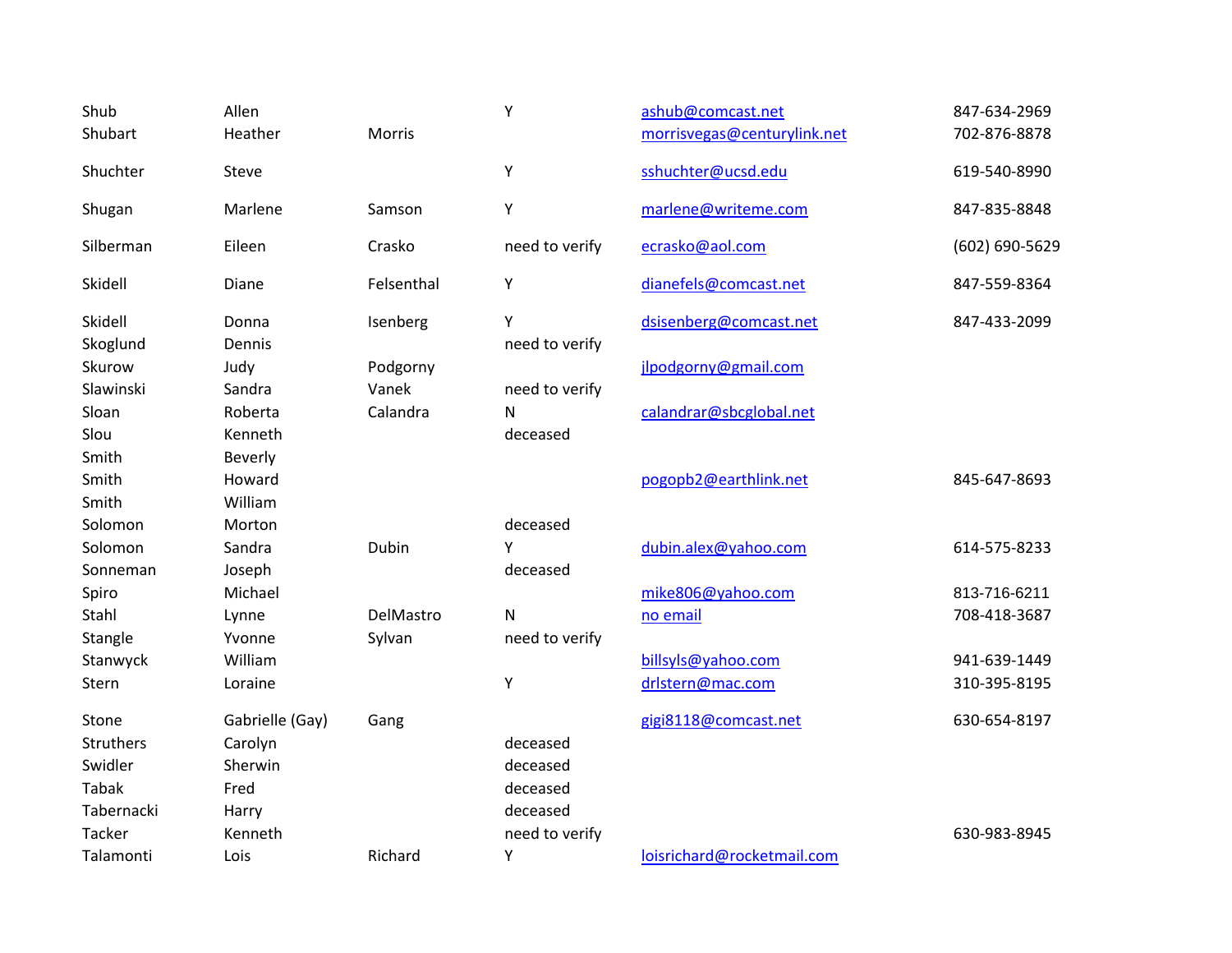| Shub<br>Shubart            | Allen<br>Heather             | Morris              | Y                               | ashub@comcast.net<br>morrisvegas@centurylink.net | 847-634-2969<br>702-876-8878 |
|----------------------------|------------------------------|---------------------|---------------------------------|--------------------------------------------------|------------------------------|
| Shuchter                   | Steve                        |                     | Y                               | sshuchter@ucsd.edu                               | 619-540-8990                 |
| Shugan                     | Marlene                      | Samson              | Υ                               | marlene@writeme.com                              | 847-835-8848                 |
| Silberman                  | Eileen                       | Crasko              | need to verify                  | ecrasko@aol.com                                  | (602) 690-5629               |
| Skidell                    | Diane                        | Felsenthal          | Υ                               | dianefels@comcast.net                            | 847-559-8364                 |
| Skidell<br>Skoglund        | Donna<br>Dennis              | Isenberg            | Υ<br>need to verify             | dsisenberg@comcast.net                           | 847-433-2099                 |
| Skurow                     | Judy                         | Podgorny            |                                 | jlpodgorny@gmail.com                             |                              |
| Slawinski<br>Sloan<br>Slou | Sandra<br>Roberta<br>Kenneth | Vanek<br>Calandra   | need to verify<br>N<br>deceased | calandrar@sbcglobal.net                          |                              |
| Smith<br>Smith<br>Smith    | Beverly<br>Howard<br>William |                     |                                 | pogopb2@earthlink.net                            | 845-647-8693                 |
| Solomon                    | Morton                       |                     | deceased                        |                                                  |                              |
| Solomon<br>Sonneman        | Sandra<br>Joseph             | Dubin               | Υ<br>deceased                   | dubin.alex@yahoo.com                             | 614-575-8233                 |
| Spiro                      | Michael                      |                     |                                 | mike806@yahoo.com                                | 813-716-6211                 |
| Stahl<br>Stangle           | Lynne<br>Yvonne              | DelMastro<br>Sylvan | Ν<br>need to verify             | no email                                         | 708-418-3687                 |
| Stanwyck                   | William                      |                     |                                 | billsyls@yahoo.com                               | 941-639-1449                 |
| Stern                      | Loraine                      |                     | Y                               | drlstern@mac.com                                 | 310-395-8195                 |
| Stone                      | Gabrielle (Gay)              | Gang                |                                 | gigi8118@comcast.net                             | 630-654-8197                 |
| <b>Struthers</b>           | Carolyn                      |                     | deceased                        |                                                  |                              |
| Swidler                    | Sherwin                      |                     | deceased                        |                                                  |                              |
| <b>Tabak</b>               | Fred                         |                     | deceased                        |                                                  |                              |
| Tabernacki                 | Harry                        |                     | deceased                        |                                                  |                              |
| <b>Tacker</b>              | Kenneth                      |                     | need to verify                  |                                                  | 630-983-8945                 |
| Talamonti                  | Lois                         | Richard             | Υ                               | loisrichard@rocketmail.com                       |                              |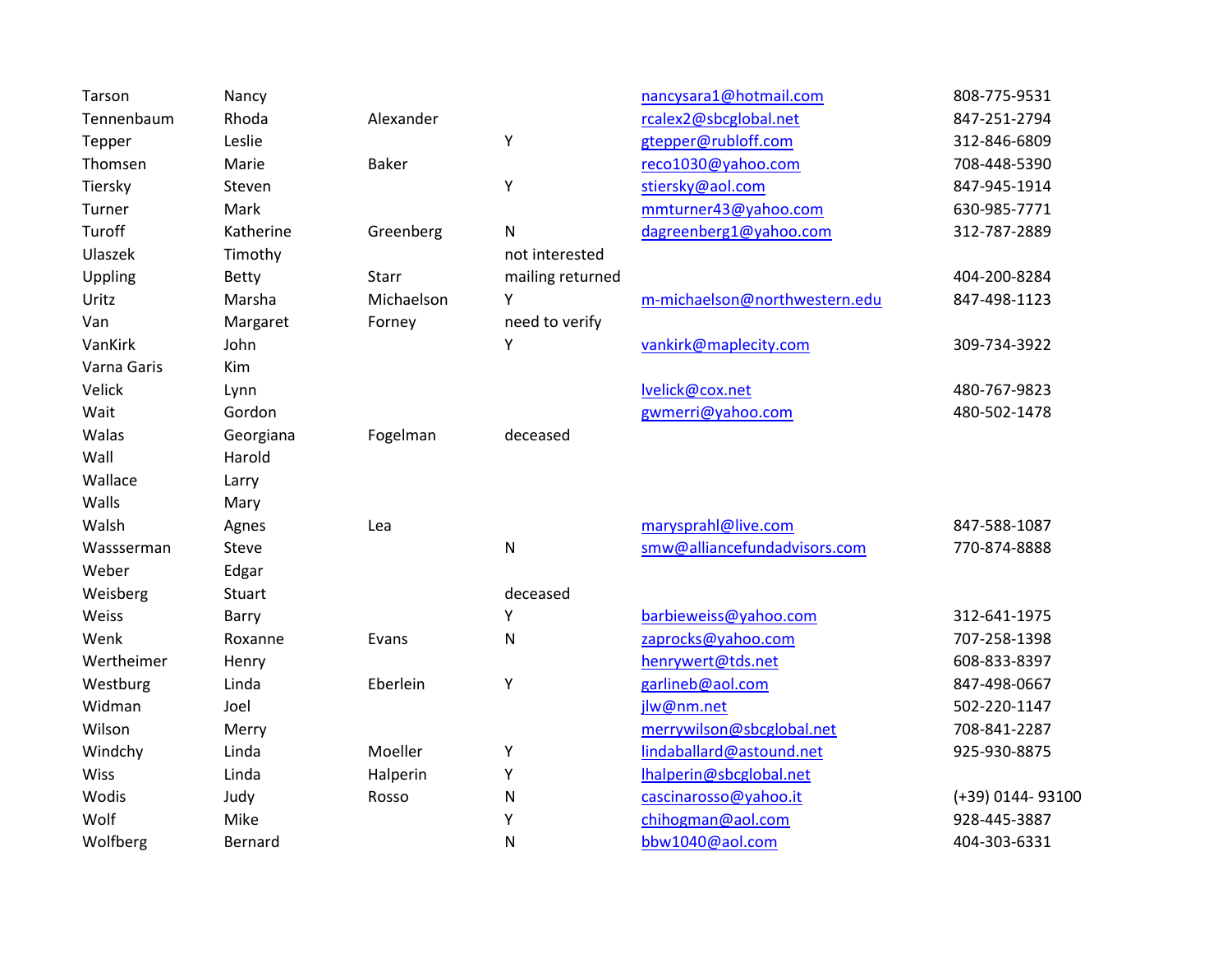| Tarson      | Nancy         |              |                  | nancysara1@hotmail.com        | 808-775-9531     |
|-------------|---------------|--------------|------------------|-------------------------------|------------------|
| Tennenbaum  | Rhoda         | Alexander    |                  | rcalex2@sbcglobal.net         | 847-251-2794     |
| Tepper      | Leslie        |              | Υ                | gtepper@rubloff.com           | 312-846-6809     |
| Thomsen     | Marie         | <b>Baker</b> |                  | reco1030@yahoo.com            | 708-448-5390     |
| Tiersky     | Steven        |              | Υ                | stiersky@aol.com              | 847-945-1914     |
| Turner      | Mark          |              |                  | mmturner43@yahoo.com          | 630-985-7771     |
| Turoff      | Katherine     | Greenberg    | ${\sf N}$        | dagreenberg1@yahoo.com        | 312-787-2889     |
| Ulaszek     | Timothy       |              | not interested   |                               |                  |
| Uppling     | Betty         | Starr        | mailing returned |                               | 404-200-8284     |
| Uritz       | Marsha        | Michaelson   | Y                | m-michaelson@northwestern.edu | 847-498-1123     |
| Van         | Margaret      | Forney       | need to verify   |                               |                  |
| VanKirk     | John          |              | Υ                | vankirk@maplecity.com         | 309-734-3922     |
| Varna Garis | Kim           |              |                  |                               |                  |
| Velick      | Lynn          |              |                  | lvelick@cox.net               | 480-767-9823     |
| Wait        | Gordon        |              |                  | gwmerri@yahoo.com             | 480-502-1478     |
| Walas       | Georgiana     | Fogelman     | deceased         |                               |                  |
| Wall        | Harold        |              |                  |                               |                  |
| Wallace     | Larry         |              |                  |                               |                  |
| Walls       | Mary          |              |                  |                               |                  |
| Walsh       | Agnes         | Lea          |                  | marysprahl@live.com           | 847-588-1087     |
| Wassserman  | Steve         |              | ${\sf N}$        | smw@alliancefundadvisors.com  | 770-874-8888     |
| Weber       | Edgar         |              |                  |                               |                  |
| Weisberg    | <b>Stuart</b> |              | deceased         |                               |                  |
| Weiss       | Barry         |              | Υ                | barbieweiss@yahoo.com         | 312-641-1975     |
| Wenk        | Roxanne       | Evans        | ${\sf N}$        | zaprocks@yahoo.com            | 707-258-1398     |
| Wertheimer  | Henry         |              |                  | henrywert@tds.net             | 608-833-8397     |
| Westburg    | Linda         | Eberlein     | Υ                | garlineb@aol.com              | 847-498-0667     |
| Widman      | Joel          |              |                  | jlw@nm.net                    | 502-220-1147     |
| Wilson      | Merry         |              |                  | merrywilson@sbcglobal.net     | 708-841-2287     |
| Windchy     | Linda         | Moeller      | Υ                | lindaballard@astound.net      | 925-930-8875     |
| <b>Wiss</b> | Linda         | Halperin     | Υ                | Ihalperin@sbcglobal.net       |                  |
| Wodis       | Judy          | Rosso        | ${\sf N}$        | cascinarosso@yahoo.it         | (+39) 0144-93100 |
| Wolf        | Mike          |              | Υ                | chihogman@aol.com             | 928-445-3887     |
| Wolfberg    | Bernard       |              | $\mathsf{N}$     | bbw1040@aol.com               | 404-303-6331     |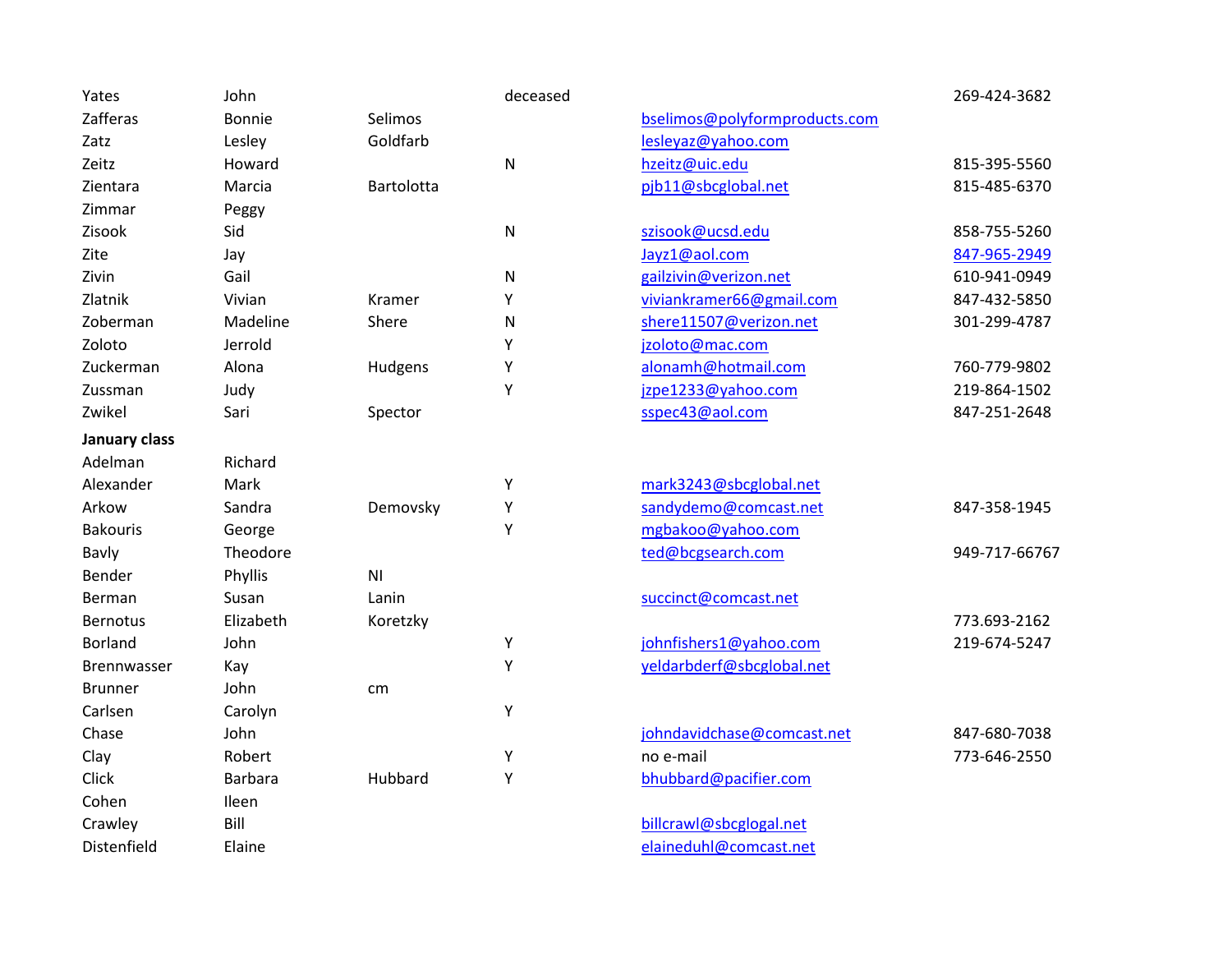| Yates              | John      |                | deceased  |                               | 269-424-3682  |
|--------------------|-----------|----------------|-----------|-------------------------------|---------------|
| Zafferas           | Bonnie    | Selimos        |           | bselimos@polyformproducts.com |               |
| Zatz               | Lesley    | Goldfarb       |           | lesleyaz@yahoo.com            |               |
| Zeitz              | Howard    |                | ${\sf N}$ | hzeitz@uic.edu                | 815-395-5560  |
| Zientara           | Marcia    | Bartolotta     |           | pjb11@sbcglobal.net           | 815-485-6370  |
| Zimmar             | Peggy     |                |           |                               |               |
| Zisook             | Sid       |                | ${\sf N}$ | szisook@ucsd.edu              | 858-755-5260  |
| Zite               | Jay       |                |           | Jayz1@aol.com                 | 847-965-2949  |
| Zivin              | Gail      |                | ${\sf N}$ | gailzivin@verizon.net         | 610-941-0949  |
| Zlatnik            | Vivian    | Kramer         | Υ         | viviankramer66@gmail.com      | 847-432-5850  |
| Zoberman           | Madeline  | Shere          | N         | shere11507@verizon.net        | 301-299-4787  |
| Zoloto             | Jerrold   |                | Υ         | jzoloto@mac.com               |               |
| Zuckerman          | Alona     | Hudgens        | Υ         | alonamh@hotmail.com           | 760-779-9802  |
| Zussman            | Judy      |                | Y         | jzpe1233@yahoo.com            | 219-864-1502  |
| Zwikel             | Sari      | Spector        |           | sspec43@aol.com               | 847-251-2648  |
| January class      |           |                |           |                               |               |
| Adelman            | Richard   |                |           |                               |               |
| Alexander          | Mark      |                | Υ         | mark3243@sbcglobal.net        |               |
| Arkow              | Sandra    | Demovsky       | Υ         | sandydemo@comcast.net         | 847-358-1945  |
| <b>Bakouris</b>    | George    |                | Y         | mgbakoo@yahoo.com             |               |
| Bavly              | Theodore  |                |           | ted@bcgsearch.com             | 949-717-66767 |
| Bender             | Phyllis   | N <sub>l</sub> |           |                               |               |
| Berman             | Susan     | Lanin          |           | succinct@comcast.net          |               |
| <b>Bernotus</b>    | Elizabeth | Koretzky       |           |                               | 773.693-2162  |
| <b>Borland</b>     | John      |                | Υ         | johnfishers1@yahoo.com        | 219-674-5247  |
| <b>Brennwasser</b> | Kay       |                | Υ         | yeldarbderf@sbcglobal.net     |               |
| <b>Brunner</b>     | John      | cm             |           |                               |               |
| Carlsen            | Carolyn   |                | Υ         |                               |               |
| Chase              | John      |                |           | johndavidchase@comcast.net    | 847-680-7038  |
| Clay               | Robert    |                | Υ         | no e-mail                     | 773-646-2550  |
| Click              | Barbara   | Hubbard        | Υ         | bhubbard@pacifier.com         |               |
| Cohen              | Ileen     |                |           |                               |               |
| Crawley            | Bill      |                |           | billcrawl@sbcglogal.net       |               |
| Distenfield        | Elaine    |                |           | elaineduhl@comcast.net        |               |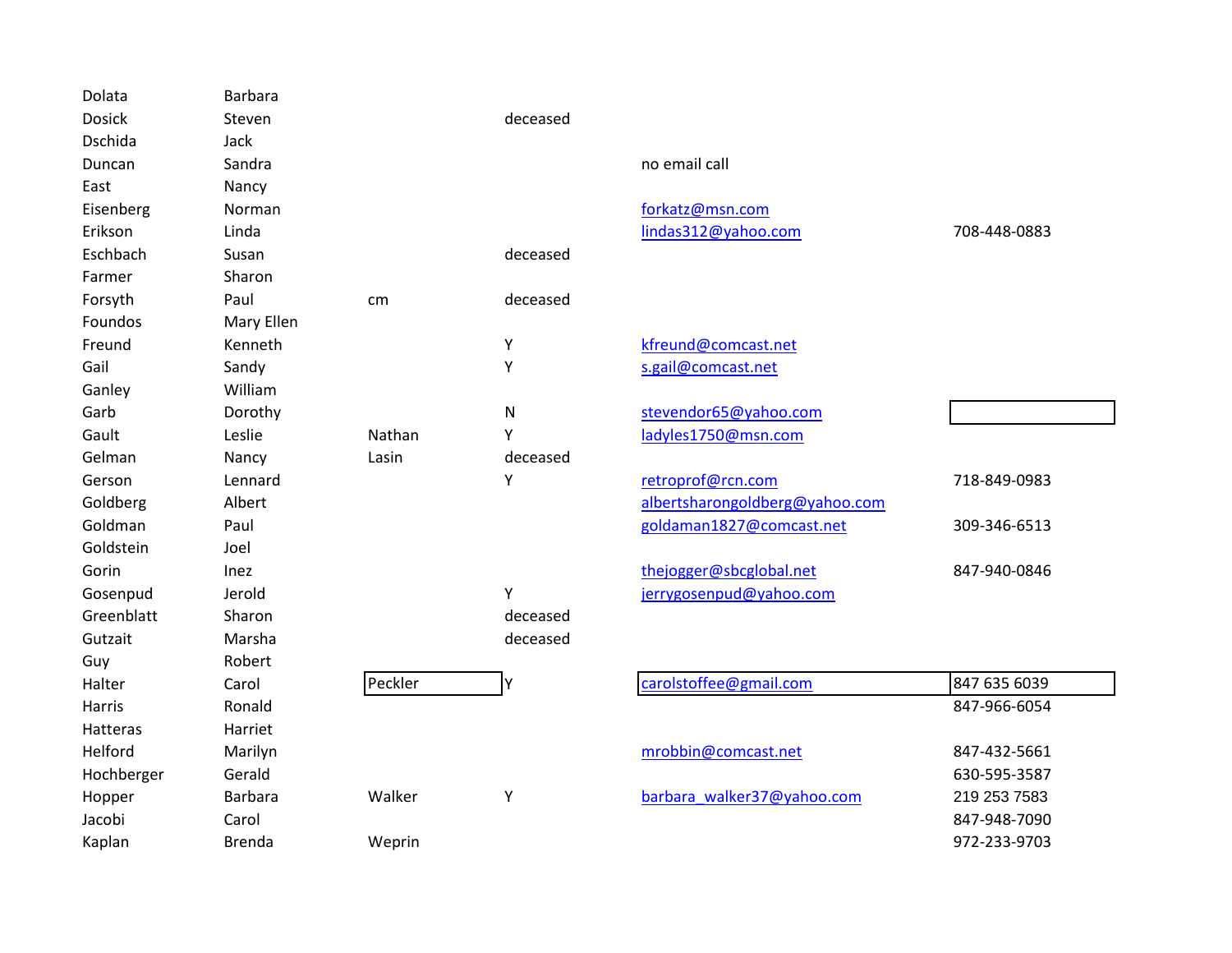| Dolata        | Barbara        |         |           |                                |              |
|---------------|----------------|---------|-----------|--------------------------------|--------------|
| <b>Dosick</b> | Steven         |         | deceased  |                                |              |
| Dschida       | Jack           |         |           |                                |              |
| Duncan        | Sandra         |         |           | no email call                  |              |
| East          | Nancy          |         |           |                                |              |
| Eisenberg     | Norman         |         |           | forkatz@msn.com                |              |
| Erikson       | Linda          |         |           | lindas312@yahoo.com            | 708-448-0883 |
| Eschbach      | Susan          |         | deceased  |                                |              |
| Farmer        | Sharon         |         |           |                                |              |
| Forsyth       | Paul           | cm      | deceased  |                                |              |
| Foundos       | Mary Ellen     |         |           |                                |              |
| Freund        | Kenneth        |         | Υ         | kfreund@comcast.net            |              |
| Gail          | Sandy          |         | Υ         | s.gail@comcast.net             |              |
| Ganley        | William        |         |           |                                |              |
| Garb          | Dorothy        |         | ${\sf N}$ | stevendor65@yahoo.com          |              |
| Gault         | Leslie         | Nathan  | Υ         | ladyles1750@msn.com            |              |
| Gelman        | Nancy          | Lasin   | deceased  |                                |              |
| Gerson        | Lennard        |         | Υ         | retroprof@rcn.com              | 718-849-0983 |
| Goldberg      | Albert         |         |           | albertsharongoldberg@yahoo.com |              |
| Goldman       | Paul           |         |           | goldaman1827@comcast.net       | 309-346-6513 |
| Goldstein     | Joel           |         |           |                                |              |
| Gorin         | <b>Inez</b>    |         |           | thejogger@sbcglobal.net        | 847-940-0846 |
| Gosenpud      | Jerold         |         | Υ         | jerrygosenpud@yahoo.com        |              |
| Greenblatt    | Sharon         |         | deceased  |                                |              |
| Gutzait       | Marsha         |         | deceased  |                                |              |
| Guy           | Robert         |         |           |                                |              |
| Halter        | Carol          | Peckler | Υ         | carolstoffee@gmail.com         | 847 635 6039 |
| Harris        | Ronald         |         |           |                                | 847-966-6054 |
| Hatteras      | Harriet        |         |           |                                |              |
| Helford       | Marilyn        |         |           | mrobbin@comcast.net            | 847-432-5661 |
| Hochberger    | Gerald         |         |           |                                | 630-595-3587 |
| Hopper        | <b>Barbara</b> | Walker  | Υ         | barbara walker37@yahoo.com     | 219 253 7583 |
| Jacobi        | Carol          |         |           |                                | 847-948-7090 |
| Kaplan        | <b>Brenda</b>  | Weprin  |           |                                | 972-233-9703 |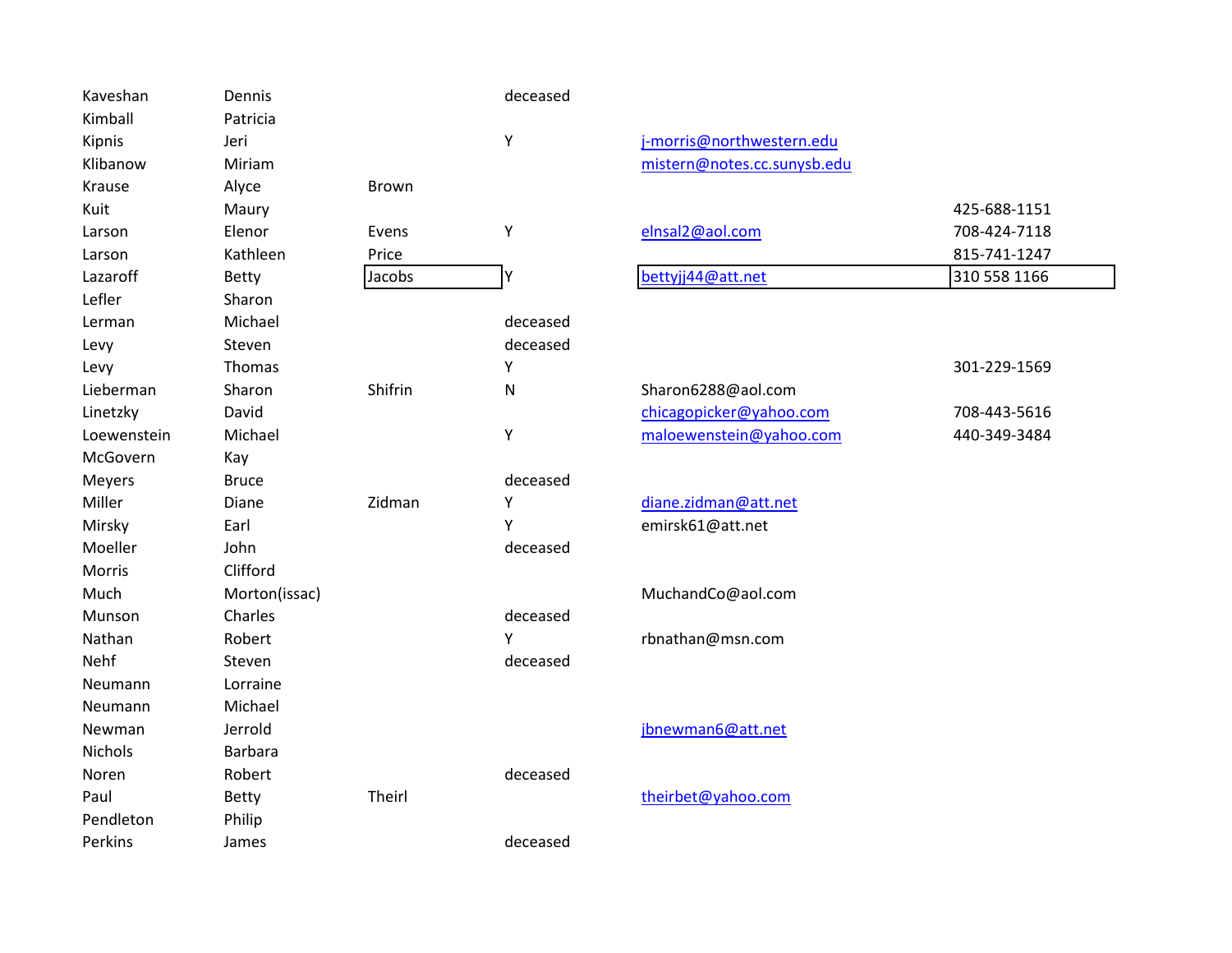| Kaveshan       | Dennis         |         | deceased |                             |              |
|----------------|----------------|---------|----------|-----------------------------|--------------|
| Kimball        | Patricia       |         |          |                             |              |
| Kipnis         | Jeri           |         | Υ        | j-morris@northwestern.edu   |              |
| Klibanow       | Miriam         |         |          | mistern@notes.cc.sunysb.edu |              |
| Krause         | Alyce          | Brown   |          |                             |              |
| Kuit           | Maury          |         |          |                             | 425-688-1151 |
| Larson         | Elenor         | Evens   | Υ        | elnsal2@aol.com             | 708-424-7118 |
| Larson         | Kathleen       | Price   |          |                             | 815-741-1247 |
| Lazaroff       | <b>Betty</b>   | Jacobs  | Υ        | bettyjj44@att.net           | 310 558 1166 |
| Lefler         | Sharon         |         |          |                             |              |
| Lerman         | Michael        |         | deceased |                             |              |
| Levy           | Steven         |         | deceased |                             |              |
| Levy           | Thomas         |         | Υ        |                             | 301-229-1569 |
| Lieberman      | Sharon         | Shifrin | N        | Sharon6288@aol.com          |              |
| Linetzky       | David          |         |          | chicagopicker@yahoo.com     | 708-443-5616 |
| Loewenstein    | Michael        |         | Υ        | maloewenstein@yahoo.com     | 440-349-3484 |
| McGovern       | Kay            |         |          |                             |              |
| Meyers         | <b>Bruce</b>   |         | deceased |                             |              |
| Miller         | Diane          | Zidman  | Υ        | diane.zidman@att.net        |              |
| Mirsky         | Earl           |         | Y        | emirsk61@att.net            |              |
| Moeller        | John           |         | deceased |                             |              |
| Morris         | Clifford       |         |          |                             |              |
| Much           | Morton(issac)  |         |          | MuchandCo@aol.com           |              |
| Munson         | Charles        |         | deceased |                             |              |
| Nathan         | Robert         |         | Υ        | rbnathan@msn.com            |              |
| Nehf           | Steven         |         | deceased |                             |              |
| Neumann        | Lorraine       |         |          |                             |              |
| Neumann        | Michael        |         |          |                             |              |
| Newman         | Jerrold        |         |          | jbnewman6@att.net           |              |
| <b>Nichols</b> | <b>Barbara</b> |         |          |                             |              |
| Noren          | Robert         |         | deceased |                             |              |
| Paul           | <b>Betty</b>   | Theirl  |          | theirbet@yahoo.com          |              |
| Pendleton      | Philip         |         |          |                             |              |
| Perkins        | James          |         | deceased |                             |              |
|                |                |         |          |                             |              |

# [j-morris@northwestern.edu](mailto:j-morris@northwestern.edu) [mistern@notes.cc.sunysb.edu](mailto:mistern@notes.cc.sunysb.edu)

|                   | 425-688-1151 |
|-------------------|--------------|
| elnsal2@aol.com   | 708-424-7118 |
|                   | 815-741-1247 |
| bettyjj44@att.net | 310 558 1166 |

|                         | 301-229-1509 |
|-------------------------|--------------|
| Sharon6288@aol.com      |              |
| chicagopicker@yahoo.com | 708-443-5616 |
| maloewenstein@yahoo.com | 440-349-3484 |
|                         |              |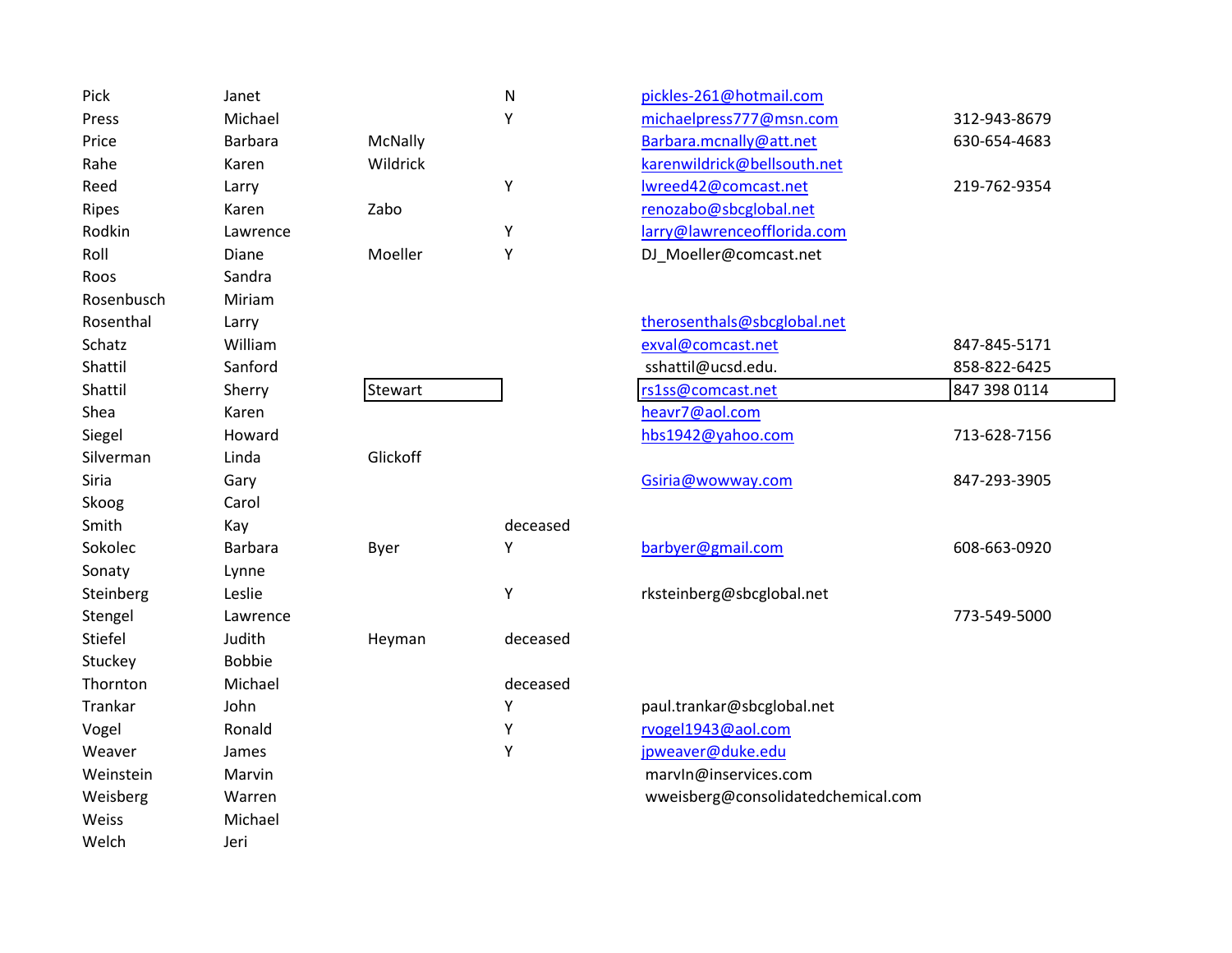| Pick         | Janet          |          | N        | pickles-261@hotmail.com            |              |
|--------------|----------------|----------|----------|------------------------------------|--------------|
| Press        | Michael        |          | Υ        | michaelpress777@msn.com            | 312-943-8679 |
| Price        | Barbara        | McNally  |          | Barbara.mcnally@att.net            | 630-654-4683 |
| Rahe         | Karen          | Wildrick |          | karenwildrick@bellsouth.net        |              |
| Reed         | Larry          |          | Υ        | Iwreed42@comcast.net               | 219-762-9354 |
| <b>Ripes</b> | Karen          | Zabo     |          | renozabo@sbcglobal.net             |              |
| Rodkin       | Lawrence       |          | Υ        | larry@lawrenceofflorida.com        |              |
| Roll         | Diane          | Moeller  | Υ        | DJ_Moeller@comcast.net             |              |
| Roos         | Sandra         |          |          |                                    |              |
| Rosenbusch   | Miriam         |          |          |                                    |              |
| Rosenthal    | Larry          |          |          | therosenthals@sbcglobal.net        |              |
| Schatz       | William        |          |          | exval@comcast.net                  | 847-845-5171 |
| Shattil      | Sanford        |          |          | sshattil@ucsd.edu.                 | 858-822-6425 |
| Shattil      | Sherry         | Stewart  |          | rs1ss@comcast.net                  | 847 398 0114 |
| Shea         | Karen          |          |          | heavr7@aol.com                     |              |
| Siegel       | Howard         |          |          | hbs1942@yahoo.com                  | 713-628-7156 |
| Silverman    | Linda          | Glickoff |          |                                    |              |
| Siria        | Gary           |          |          | Gsiria@wowway.com                  | 847-293-3905 |
| Skoog        | Carol          |          |          |                                    |              |
| Smith        | Kay            |          | deceased |                                    |              |
| Sokolec      | <b>Barbara</b> | Byer     | Υ        | barbyer@gmail.com                  | 608-663-0920 |
| Sonaty       | Lynne          |          |          |                                    |              |
| Steinberg    | Leslie         |          | Υ        | rksteinberg@sbcglobal.net          |              |
| Stengel      | Lawrence       |          |          |                                    | 773-549-5000 |
| Stiefel      | Judith         | Heyman   | deceased |                                    |              |
| Stuckey      | <b>Bobbie</b>  |          |          |                                    |              |
| Thornton     | Michael        |          | deceased |                                    |              |
| Trankar      | John           |          | Υ        | paul.trankar@sbcglobal.net         |              |
| Vogel        | Ronald         |          | Υ        | rvogel1943@aol.com                 |              |
| Weaver       | James          |          | Υ        | jpweaver@duke.edu                  |              |
| Weinstein    | Marvin         |          |          | marvIn@inservices.com              |              |
| Weisberg     | Warren         |          |          | wweisberg@consolidatedchemical.com |              |
| Weiss        | Michael        |          |          |                                    |              |
| Welch        | Jeri           |          |          |                                    |              |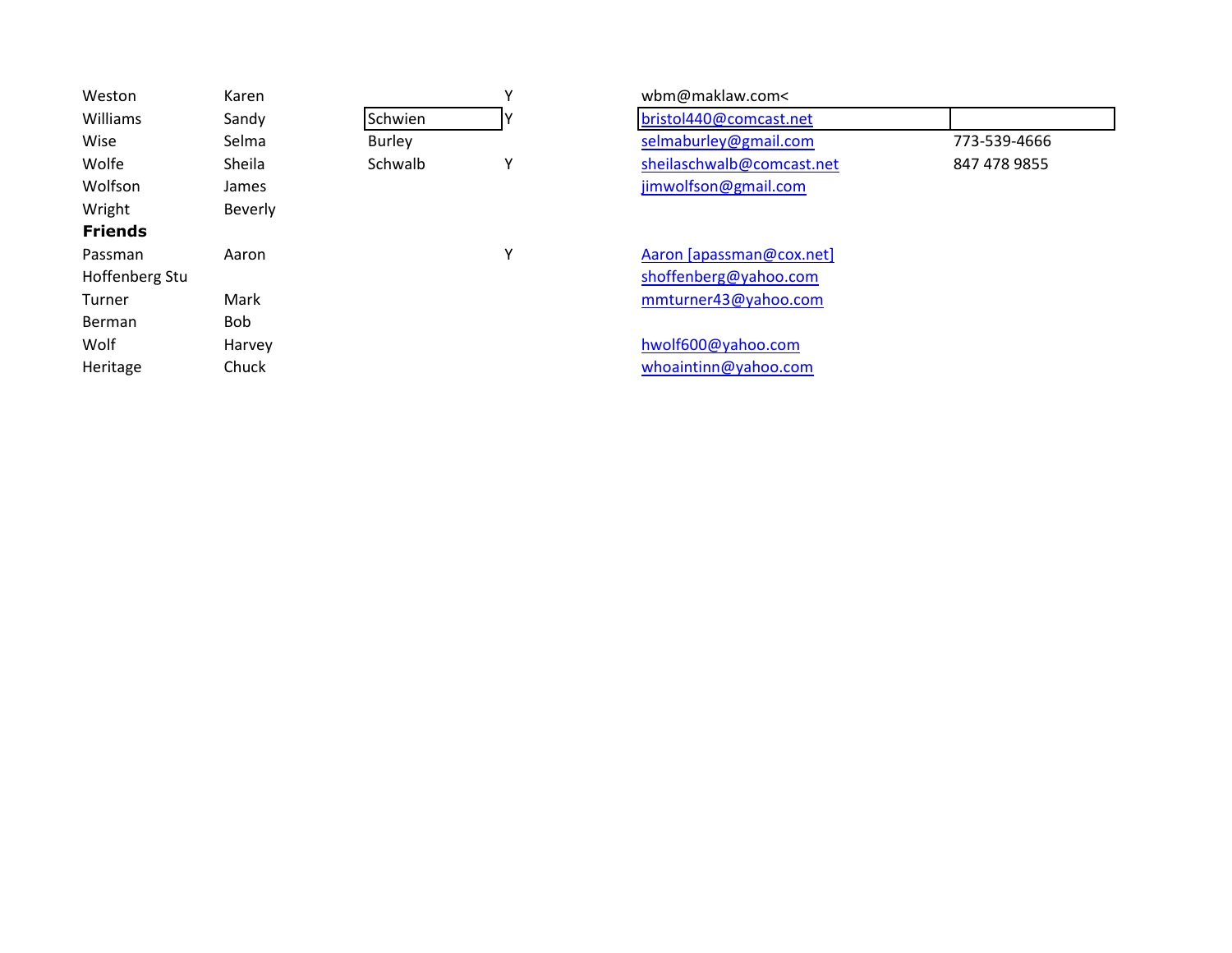| Weston         | Karen      |               | $\checkmark$ | wbm@maklaw.com<           |              |
|----------------|------------|---------------|--------------|---------------------------|--------------|
| Williams       | Sandy      | Schwien       |              | bristol440@comcast.net    |              |
| Wise           | Selma      | <b>Burley</b> |              | selmaburley@gmail.com     | 773-539-4666 |
| Wolfe          | Sheila     | Schwalb       | ٧            | sheilaschwalb@comcast.net | 847 478 9855 |
| Wolfson        | James      |               |              | jimwolfson@gmail.com      |              |
| Wright         | Beverly    |               |              |                           |              |
| <b>Friends</b> |            |               |              |                           |              |
| Passman        | Aaron      |               | ۷            | Aaron [apassman@cox.net]  |              |
| Hoffenberg Stu |            |               |              | shoffenberg@yahoo.com     |              |
| <b>Turner</b>  | Mark       |               |              | mmturner43@yahoo.com      |              |
| Berman         | <b>Bob</b> |               |              |                           |              |
| Wolf           | Harvey     |               |              | hwolf600@yahoo.com        |              |
| Heritage       | Chuck      |               |              | whoaintinn@yahoo.com      |              |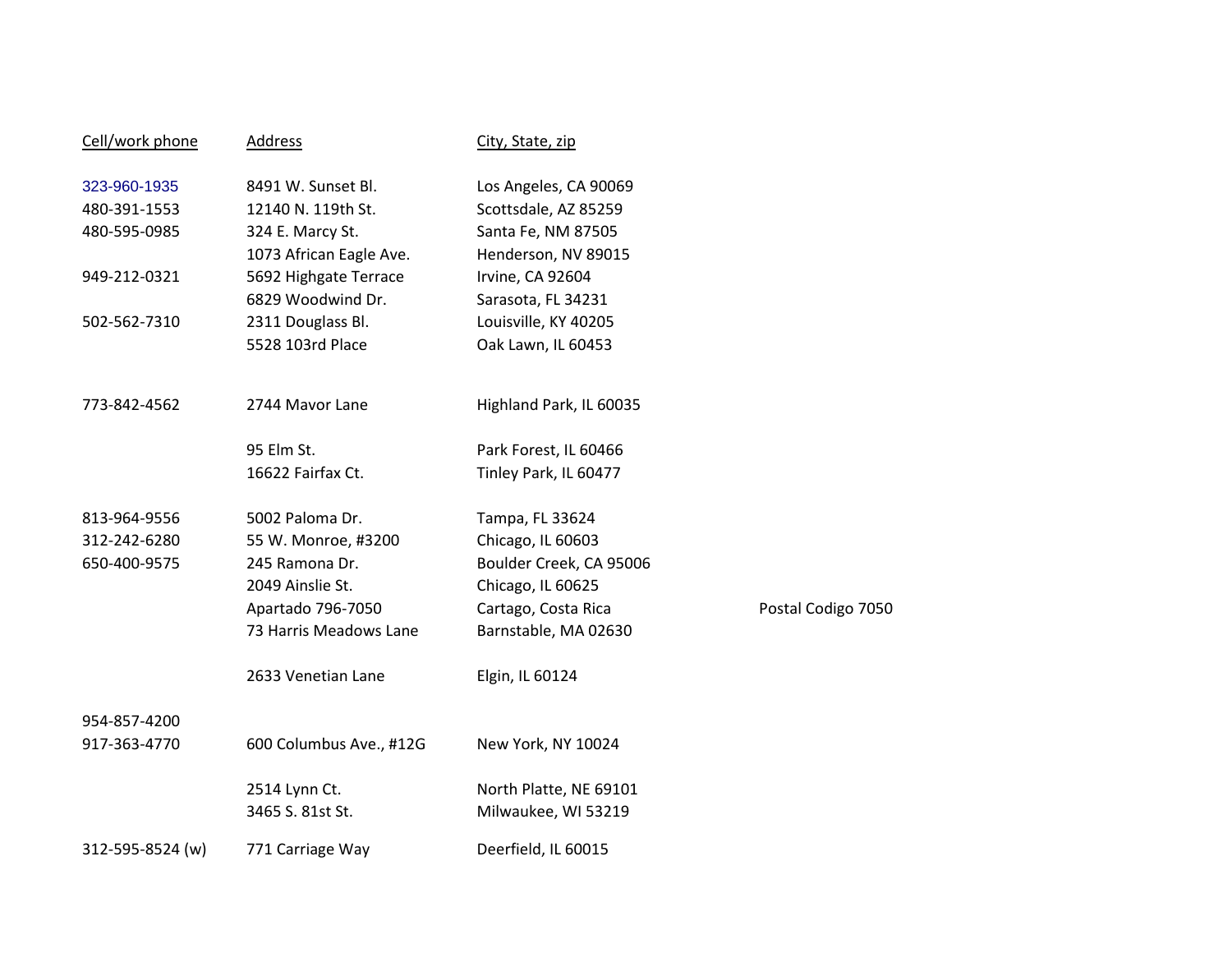| Cell/work phone  | <b>Address</b>          | City, State, zip        |                    |
|------------------|-------------------------|-------------------------|--------------------|
| 323-960-1935     | 8491 W. Sunset Bl.      | Los Angeles, CA 90069   |                    |
| 480-391-1553     | 12140 N. 119th St.      | Scottsdale, AZ 85259    |                    |
| 480-595-0985     | 324 E. Marcy St.        | Santa Fe, NM 87505      |                    |
|                  | 1073 African Eagle Ave. | Henderson, NV 89015     |                    |
| 949-212-0321     | 5692 Highgate Terrace   | Irvine, CA 92604        |                    |
|                  | 6829 Woodwind Dr.       | Sarasota, FL 34231      |                    |
| 502-562-7310     | 2311 Douglass Bl.       | Louisville, KY 40205    |                    |
|                  | 5528 103rd Place        | Oak Lawn, IL 60453      |                    |
| 773-842-4562     | 2744 Mavor Lane         | Highland Park, IL 60035 |                    |
|                  | 95 Elm St.              | Park Forest, IL 60466   |                    |
|                  | 16622 Fairfax Ct.       | Tinley Park, IL 60477   |                    |
| 813-964-9556     | 5002 Paloma Dr.         | Tampa, FL 33624         |                    |
| 312-242-6280     | 55 W. Monroe, #3200     | Chicago, IL 60603       |                    |
| 650-400-9575     | 245 Ramona Dr.          | Boulder Creek, CA 95006 |                    |
|                  | 2049 Ainslie St.        | Chicago, IL 60625       |                    |
|                  | Apartado 796-7050       | Cartago, Costa Rica     | Postal Codigo 7050 |
|                  | 73 Harris Meadows Lane  | Barnstable, MA 02630    |                    |
|                  | 2633 Venetian Lane      | Elgin, IL 60124         |                    |
| 954-857-4200     |                         |                         |                    |
| 917-363-4770     | 600 Columbus Ave., #12G | New York, NY 10024      |                    |
|                  | 2514 Lynn Ct.           | North Platte, NE 69101  |                    |
|                  | 3465 S. 81st St.        | Milwaukee, WI 53219     |                    |
| 312-595-8524 (w) | 771 Carriage Way        | Deerfield, IL 60015     |                    |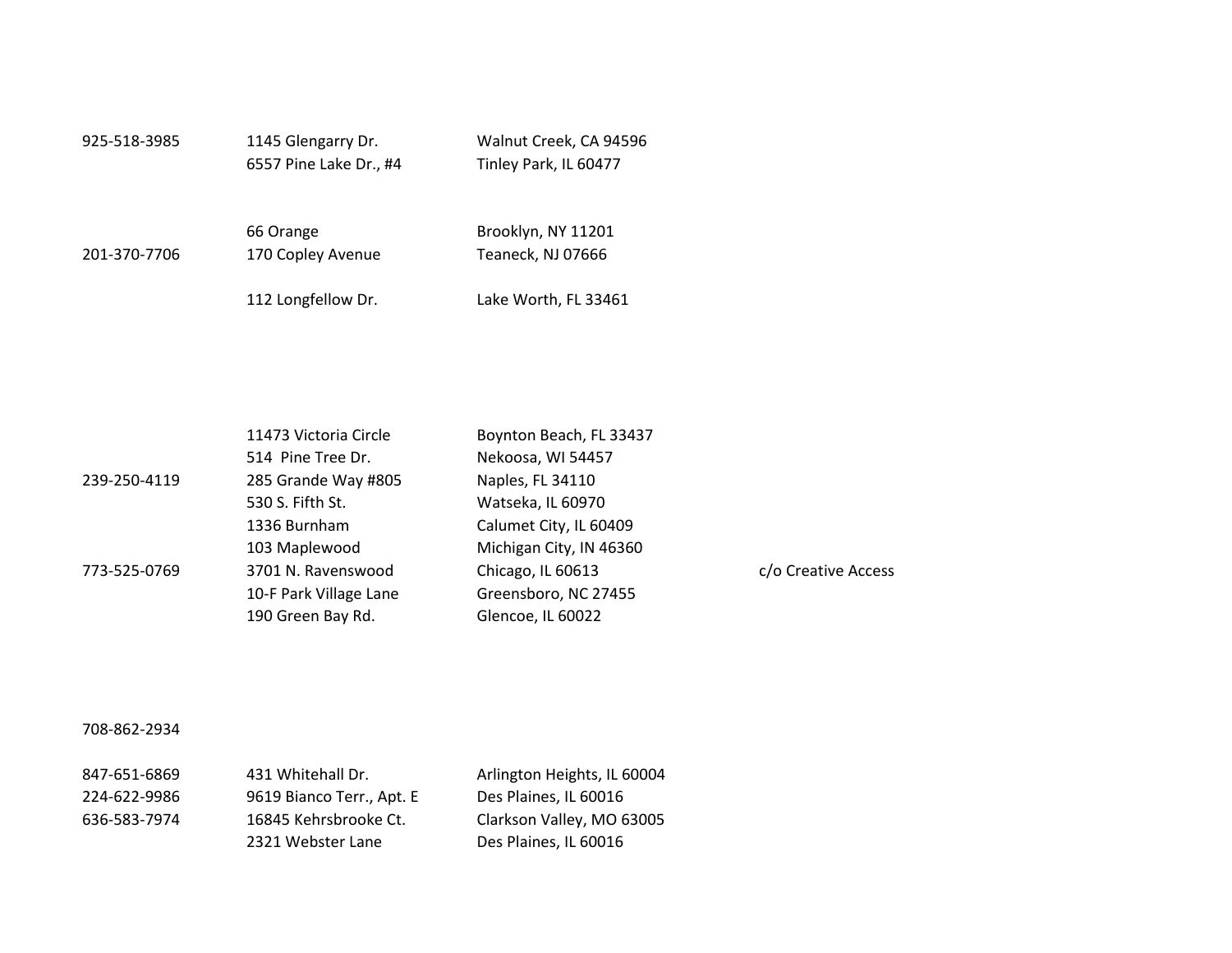| 925-518-3985 | 1145 Glengarry Dr.<br>6557 Pine Lake Dr., #4 | Walnut Creek, CA 94596<br>Tinley Park, IL 60477 |  |
|--------------|----------------------------------------------|-------------------------------------------------|--|
| 201-370-7706 | 66 Orange<br>170 Copley Avenue               | Brooklyn, NY 11201<br>Teaneck, NJ 07666         |  |
|              | 112 Longfellow Dr.                           | Lake Worth, FL 33461                            |  |

|              | 11473 Victoria Circle  | Boynton Beach, FL 33437 |                     |
|--------------|------------------------|-------------------------|---------------------|
|              | 514 Pine Tree Dr.      | Nekoosa, WI 54457       |                     |
| 239-250-4119 | 285 Grande Way #805    | Naples, FL 34110        |                     |
|              | 530 S. Fifth St.       | Watseka, IL 60970       |                     |
|              | 1336 Burnham           | Calumet City, IL 60409  |                     |
|              | 103 Maplewood          | Michigan City, IN 46360 |                     |
| 773-525-0769 | 3701 N. Ravenswood     | Chicago, IL 60613       | c/o Creative Access |
|              | 10-F Park Village Lane | Greensboro, NC 27455    |                     |
|              | 190 Green Bay Rd.      | Glencoe, IL 60022       |                     |
|              |                        |                         |                     |

#### 708-862-2934

| 847-651-6869 | 431 Whitehall Dr.         | Arlington Heights, IL 60004 |
|--------------|---------------------------|-----------------------------|
| 224-622-9986 | 9619 Bianco Terr., Apt. E | Des Plaines, IL 60016       |
| 636-583-7974 | 16845 Kehrsbrooke Ct.     | Clarkson Valley, MO 63005   |
|              | 2321 Webster Lane         | Des Plaines, IL 60016       |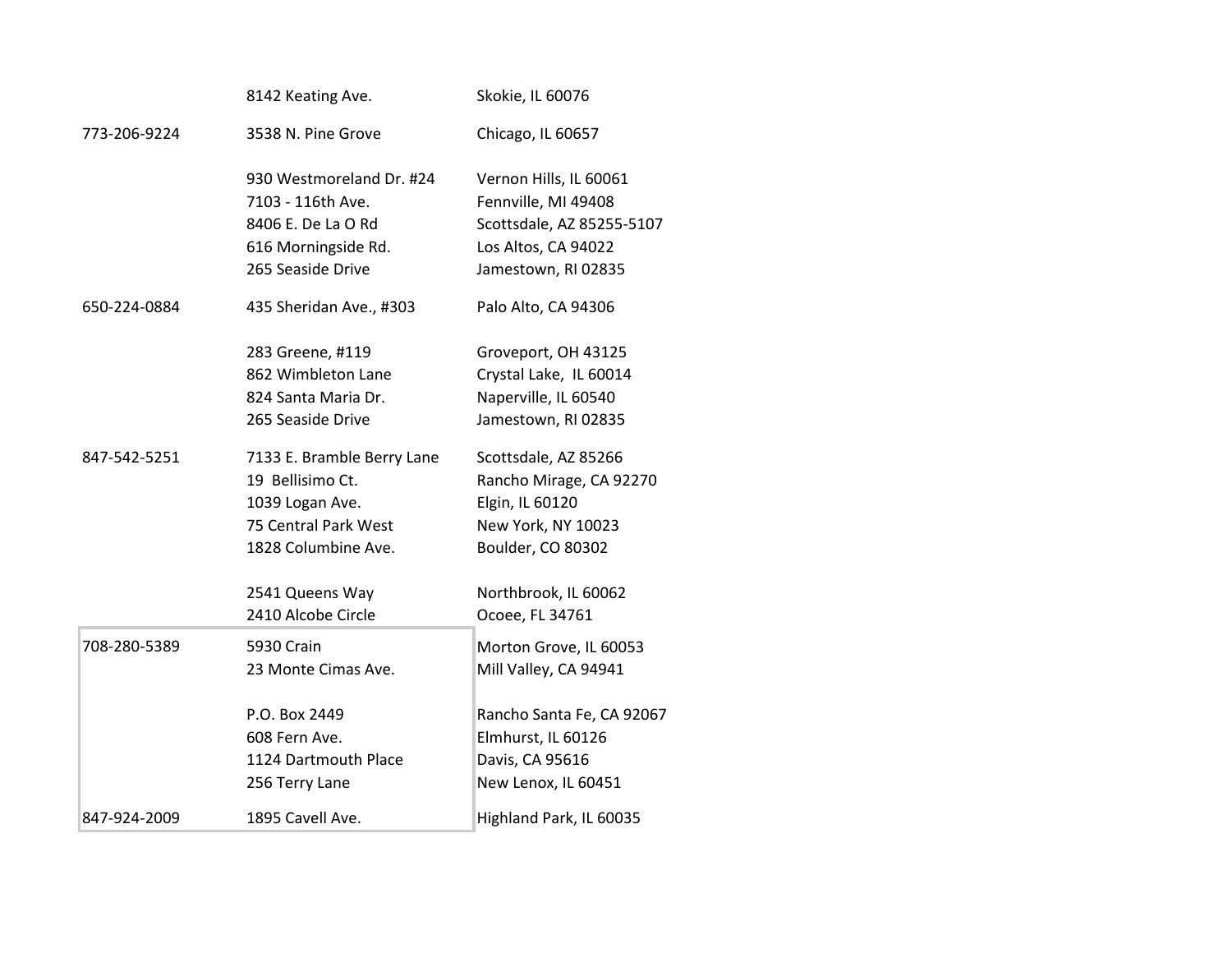|              | 8142 Keating Ave.          | Skokie, IL 60076          |
|--------------|----------------------------|---------------------------|
| 773-206-9224 | 3538 N. Pine Grove         | Chicago, IL 60657         |
|              | 930 Westmoreland Dr. #24   | Vernon Hills, IL 60061    |
|              | 7103 - 116th Ave.          | Fennville, MI 49408       |
|              | 8406 E. De La O Rd         | Scottsdale, AZ 85255-5107 |
|              | 616 Morningside Rd.        | Los Altos, CA 94022       |
|              | 265 Seaside Drive          | Jamestown, RI 02835       |
| 650-224-0884 | 435 Sheridan Ave., #303    | Palo Alto, CA 94306       |
|              | 283 Greene, #119           | Groveport, OH 43125       |
|              | 862 Wimbleton Lane         | Crystal Lake, IL 60014    |
|              | 824 Santa Maria Dr.        | Naperville, IL 60540      |
|              | 265 Seaside Drive          | Jamestown, RI 02835       |
| 847-542-5251 | 7133 E. Bramble Berry Lane | Scottsdale, AZ 85266      |
|              | 19 Bellisimo Ct.           | Rancho Mirage, CA 92270   |
|              | 1039 Logan Ave.            | Elgin, IL 60120           |
|              | 75 Central Park West       | New York, NY 10023        |
|              | 1828 Columbine Ave.        | Boulder, CO 80302         |
|              | 2541 Queens Way            | Northbrook, IL 60062      |
|              | 2410 Alcobe Circle         | Ocoee, FL 34761           |
| 708-280-5389 | 5930 Crain                 | Morton Grove, IL 60053    |
|              | 23 Monte Cimas Ave.        | Mill Valley, CA 94941     |
|              | P.O. Box 2449              | Rancho Santa Fe, CA 92067 |
|              | 608 Fern Ave.              | Elmhurst, IL 60126        |
|              | 1124 Dartmouth Place       | Davis, CA 95616           |
|              | 256 Terry Lane             | New Lenox, IL 60451       |
| 847-924-2009 | 1895 Cavell Ave.           | Highland Park, IL 60035   |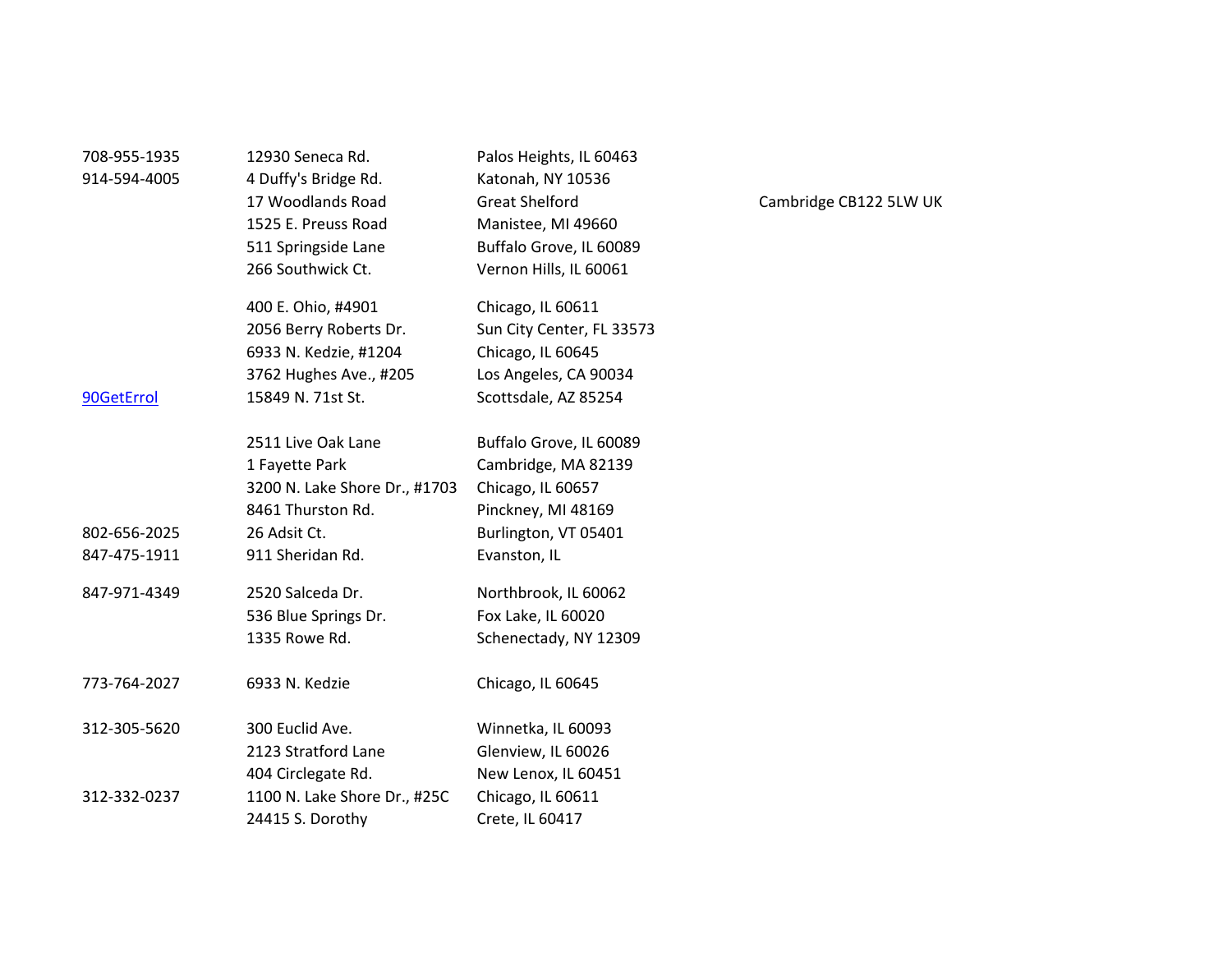| 708-955-1935 | 12930 Seneca Rd.              | Palos Heights, IL 60463   |
|--------------|-------------------------------|---------------------------|
| 914-594-4005 | 4 Duffy's Bridge Rd.          | Katonah, NY 10536         |
|              | 17 Woodlands Road             | <b>Great Shelford</b>     |
|              | 1525 E. Preuss Road           | Manistee, MI 49660        |
|              | 511 Springside Lane           | Buffalo Grove, IL 60089   |
|              | 266 Southwick Ct.             | Vernon Hills, IL 60061    |
|              | 400 E. Ohio, #4901            | Chicago, IL 60611         |
|              | 2056 Berry Roberts Dr.        | Sun City Center, FL 33573 |
|              | 6933 N. Kedzie, #1204         | Chicago, IL 60645         |
|              | 3762 Hughes Ave., #205        | Los Angeles, CA 90034     |
| 90GetErrol   | 15849 N. 71st St.             | Scottsdale, AZ 85254      |
|              | 2511 Live Oak Lane            | Buffalo Grove, IL 60089   |
|              | 1 Fayette Park                | Cambridge, MA 82139       |
|              | 3200 N. Lake Shore Dr., #1703 | Chicago, IL 60657         |
|              | 8461 Thurston Rd.             | Pinckney, MI 48169        |
| 802-656-2025 | 26 Adsit Ct.                  | Burlington, VT 05401      |
| 847-475-1911 | 911 Sheridan Rd.              | Evanston, IL              |
| 847-971-4349 | 2520 Salceda Dr.              | Northbrook, IL 60062      |
|              | 536 Blue Springs Dr.          | Fox Lake, IL 60020        |
|              | 1335 Rowe Rd.                 | Schenectady, NY 12309     |
| 773-764-2027 | 6933 N. Kedzie                | Chicago, IL 60645         |
| 312-305-5620 | 300 Euclid Ave.               | Winnetka, IL 60093        |
|              | 2123 Stratford Lane           | Glenview, IL 60026        |
|              | 404 Circlegate Rd.            | New Lenox, IL 60451       |
| 312-332-0237 | 1100 N. Lake Shore Dr., #25C  | Chicago, IL 60611         |
|              | 24415 S. Dorothy              | Crete, IL 60417           |
|              |                               |                           |

# Cambridge CB122 5LW UK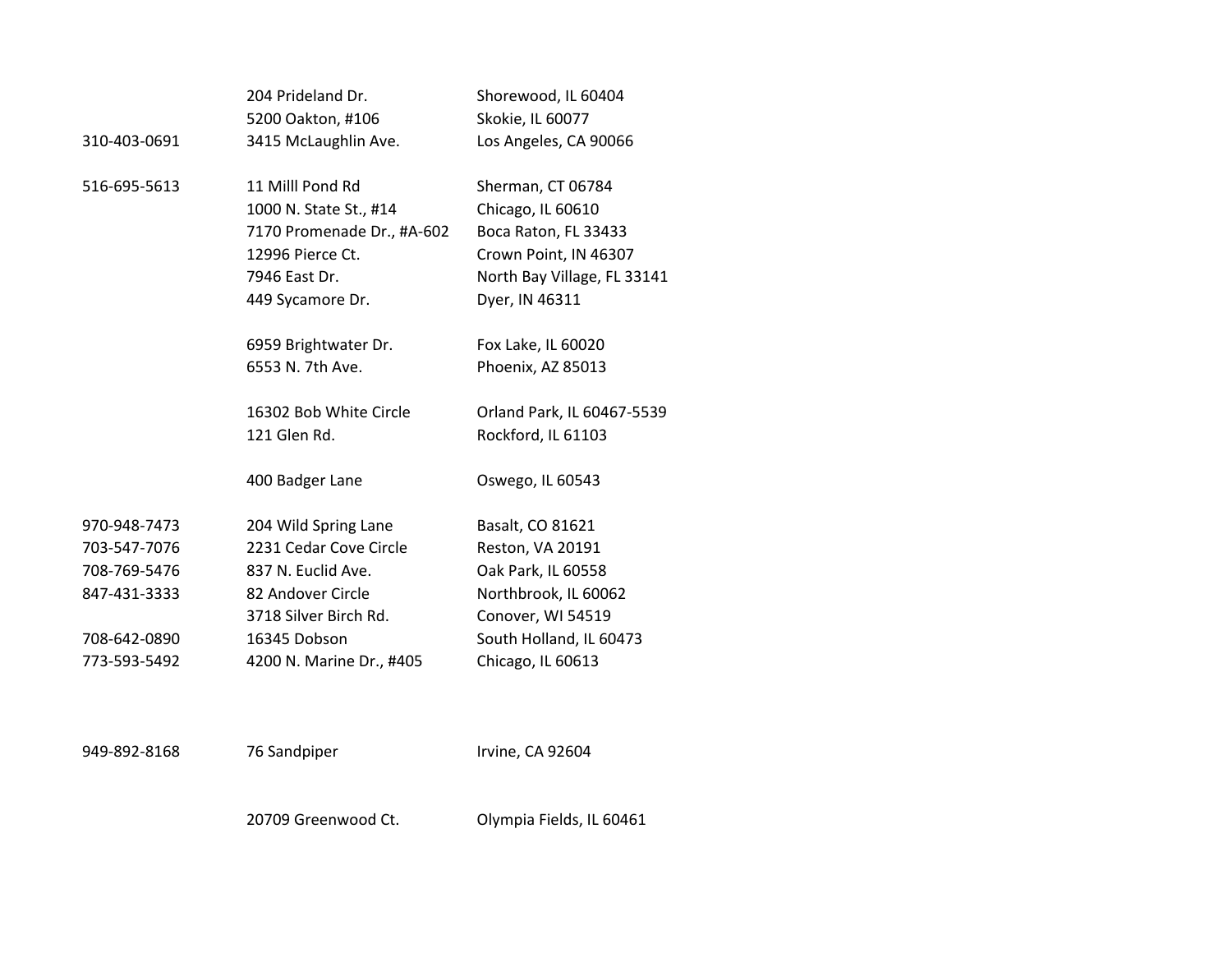|              | 204 Prideland Dr.          | Shorewood, IL 60404         |
|--------------|----------------------------|-----------------------------|
|              | 5200 Oakton, #106          | Skokie, IL 60077            |
| 310-403-0691 | 3415 McLaughlin Ave.       | Los Angeles, CA 90066       |
| 516-695-5613 | 11 Milll Pond Rd           | Sherman, CT 06784           |
|              | 1000 N. State St., #14     | Chicago, IL 60610           |
|              | 7170 Promenade Dr., #A-602 | Boca Raton, FL 33433        |
|              | 12996 Pierce Ct.           | Crown Point, IN 46307       |
|              | 7946 East Dr.              | North Bay Village, FL 33141 |
|              | 449 Sycamore Dr.           | Dyer, IN 46311              |
|              | 6959 Brightwater Dr.       | Fox Lake, IL 60020          |
|              | 6553 N. 7th Ave.           | Phoenix, AZ 85013           |
|              | 16302 Bob White Circle     | Orland Park, IL 60467-5539  |
|              | 121 Glen Rd.               | Rockford, IL 61103          |
|              | 400 Badger Lane            | Oswego, IL 60543            |
| 970-948-7473 | 204 Wild Spring Lane       | Basalt, CO 81621            |
| 703-547-7076 | 2231 Cedar Cove Circle     | Reston, VA 20191            |
| 708-769-5476 | 837 N. Euclid Ave.         | Oak Park, IL 60558          |
| 847-431-3333 | 82 Andover Circle          | Northbrook, IL 60062        |
|              | 3718 Silver Birch Rd.      | Conover, WI 54519           |
| 708-642-0890 | 16345 Dobson               | South Holland, IL 60473     |
| 773-593-5492 | 4200 N. Marine Dr., #405   | Chicago, IL 60613           |
|              |                            |                             |

949-892-8168 76 Sandpiper Irvine, CA 92604 20709 Greenwood Ct. Olympia Fields, IL 60461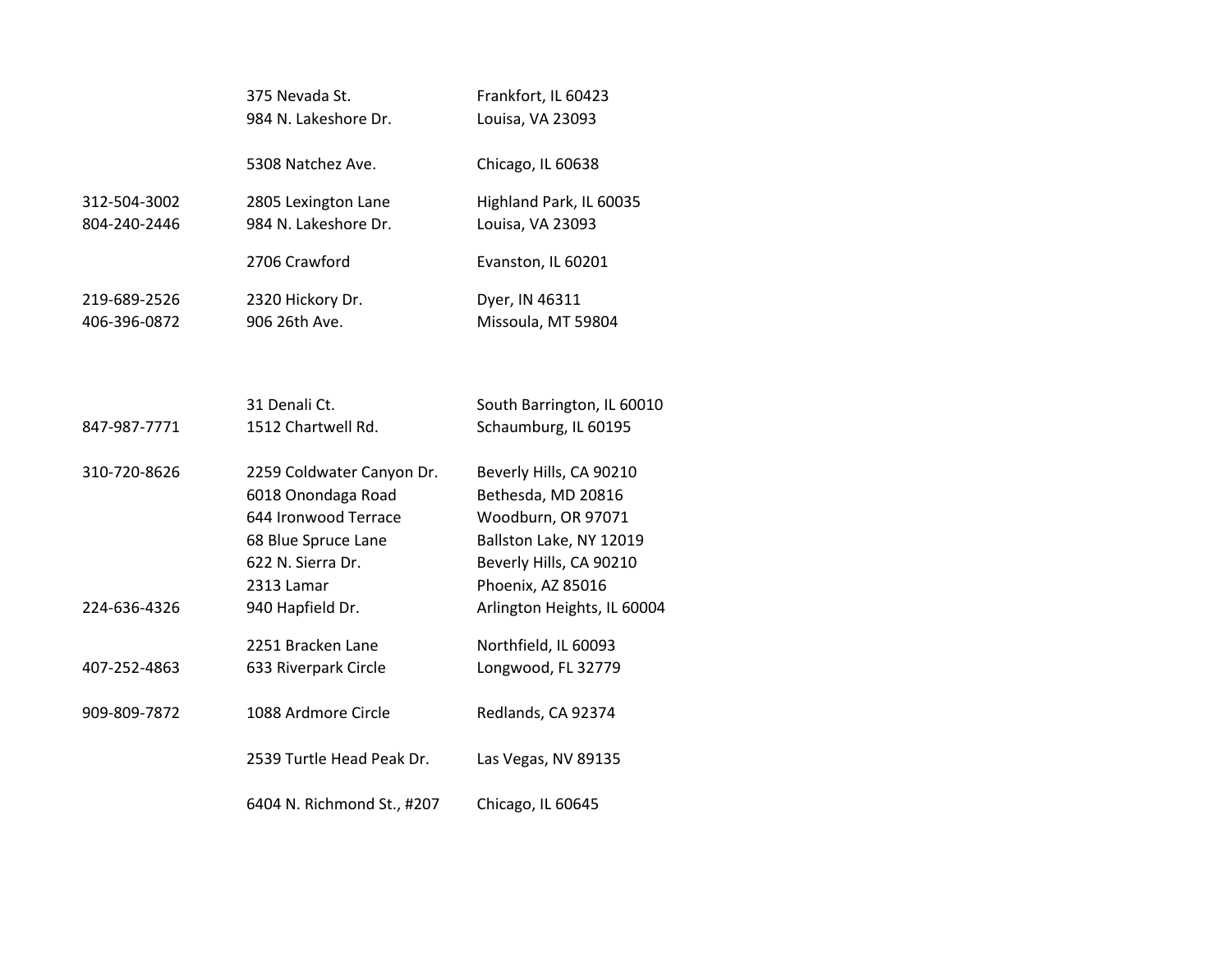|                              | 375 Nevada St.<br>984 N. Lakeshore Dr.                                                                                            | Frankfort, IL 60423<br>Louisa, VA 23093                                                                                                        |
|------------------------------|-----------------------------------------------------------------------------------------------------------------------------------|------------------------------------------------------------------------------------------------------------------------------------------------|
|                              | 5308 Natchez Ave.                                                                                                                 | Chicago, IL 60638                                                                                                                              |
| 312-504-3002<br>804-240-2446 | 2805 Lexington Lane<br>984 N. Lakeshore Dr.                                                                                       | Highland Park, IL 60035<br>Louisa, VA 23093                                                                                                    |
|                              | 2706 Crawford                                                                                                                     | Evanston, IL 60201                                                                                                                             |
| 219-689-2526<br>406-396-0872 | 2320 Hickory Dr.<br>906 26th Ave.                                                                                                 | Dyer, IN 46311<br>Missoula, MT 59804                                                                                                           |
|                              |                                                                                                                                   |                                                                                                                                                |
| 847-987-7771                 | 31 Denali Ct.<br>1512 Chartwell Rd.                                                                                               | South Barrington, IL 60010<br>Schaumburg, IL 60195                                                                                             |
| 310-720-8626                 | 2259 Coldwater Canyon Dr.<br>6018 Onondaga Road<br>644 Ironwood Terrace<br>68 Blue Spruce Lane<br>622 N. Sierra Dr.<br>2313 Lamar | Beverly Hills, CA 90210<br>Bethesda, MD 20816<br>Woodburn, OR 97071<br>Ballston Lake, NY 12019<br>Beverly Hills, CA 90210<br>Phoenix, AZ 85016 |
| 224-636-4326                 | 940 Hapfield Dr.                                                                                                                  | Arlington Heights, IL 60004                                                                                                                    |
| 407-252-4863                 | 2251 Bracken Lane<br>633 Riverpark Circle                                                                                         | Northfield, IL 60093<br>Longwood, FL 32779                                                                                                     |
| 909-809-7872                 | 1088 Ardmore Circle                                                                                                               | Redlands, CA 92374                                                                                                                             |
|                              | 2539 Turtle Head Peak Dr.                                                                                                         | Las Vegas, NV 89135                                                                                                                            |
|                              | 6404 N. Richmond St., #207                                                                                                        | Chicago, IL 60645                                                                                                                              |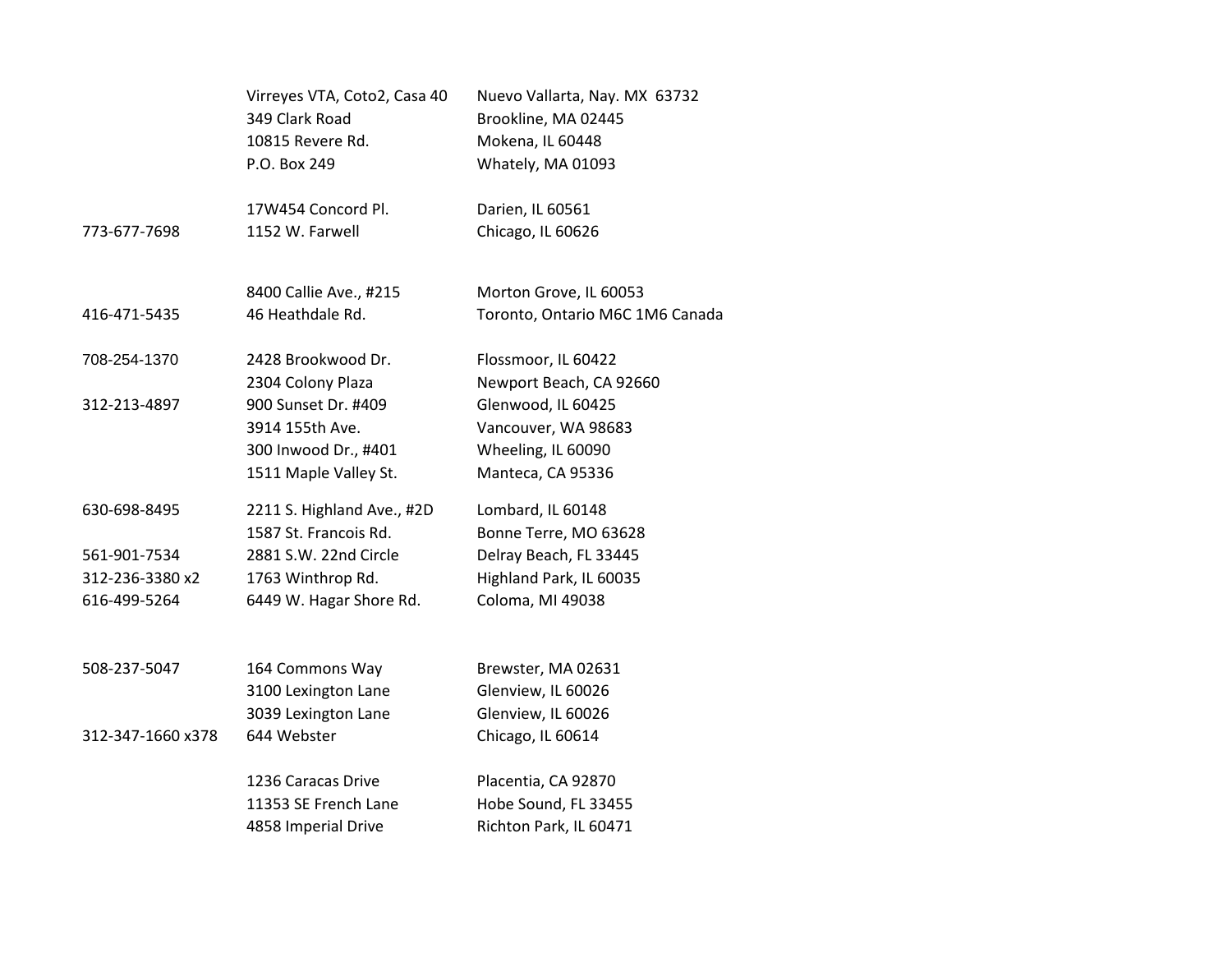|                   | Virreyes VTA, Coto2, Casa 40<br>349 Clark Road<br>10815 Revere Rd. | Nuevo Vallarta, Nay. MX 63732<br>Brookline, MA 02445<br>Mokena, IL 60448 |
|-------------------|--------------------------------------------------------------------|--------------------------------------------------------------------------|
|                   | P.O. Box 249                                                       | Whately, MA 01093                                                        |
|                   | 17W454 Concord Pl.                                                 | Darien, IL 60561                                                         |
| 773-677-7698      | 1152 W. Farwell                                                    | Chicago, IL 60626                                                        |
|                   | 8400 Callie Ave., #215                                             | Morton Grove, IL 60053                                                   |
| 416-471-5435      | 46 Heathdale Rd.                                                   | Toronto, Ontario M6C 1M6 Canada                                          |
| 708-254-1370      | 2428 Brookwood Dr.                                                 | Flossmoor, IL 60422                                                      |
|                   | 2304 Colony Plaza                                                  | Newport Beach, CA 92660                                                  |
| 312-213-4897      | 900 Sunset Dr. #409                                                | Glenwood, IL 60425                                                       |
|                   | 3914 155th Ave.                                                    | Vancouver, WA 98683                                                      |
|                   | 300 Inwood Dr., #401                                               | Wheeling, IL 60090                                                       |
|                   | 1511 Maple Valley St.                                              | Manteca, CA 95336                                                        |
| 630-698-8495      | 2211 S. Highland Ave., #2D                                         | Lombard, IL 60148                                                        |
|                   | 1587 St. Francois Rd.                                              | Bonne Terre, MO 63628                                                    |
| 561-901-7534      | 2881 S.W. 22nd Circle                                              | Delray Beach, FL 33445                                                   |
| 312-236-3380 x2   | 1763 Winthrop Rd.                                                  | Highland Park, IL 60035                                                  |
| 616-499-5264      | 6449 W. Hagar Shore Rd.                                            | Coloma, MI 49038                                                         |
| 508-237-5047      |                                                                    |                                                                          |
|                   | 164 Commons Way                                                    | Brewster, MA 02631                                                       |
|                   | 3100 Lexington Lane                                                | Glenview, IL 60026                                                       |
|                   | 3039 Lexington Lane                                                | Glenview, IL 60026                                                       |
| 312-347-1660 x378 | 644 Webster                                                        | Chicago, IL 60614                                                        |
|                   | 1236 Caracas Drive                                                 | Placentia, CA 92870                                                      |
|                   | 11353 SE French Lane                                               | Hobe Sound, FL 33455                                                     |
|                   | 4858 Imperial Drive                                                | Richton Park, IL 60471                                                   |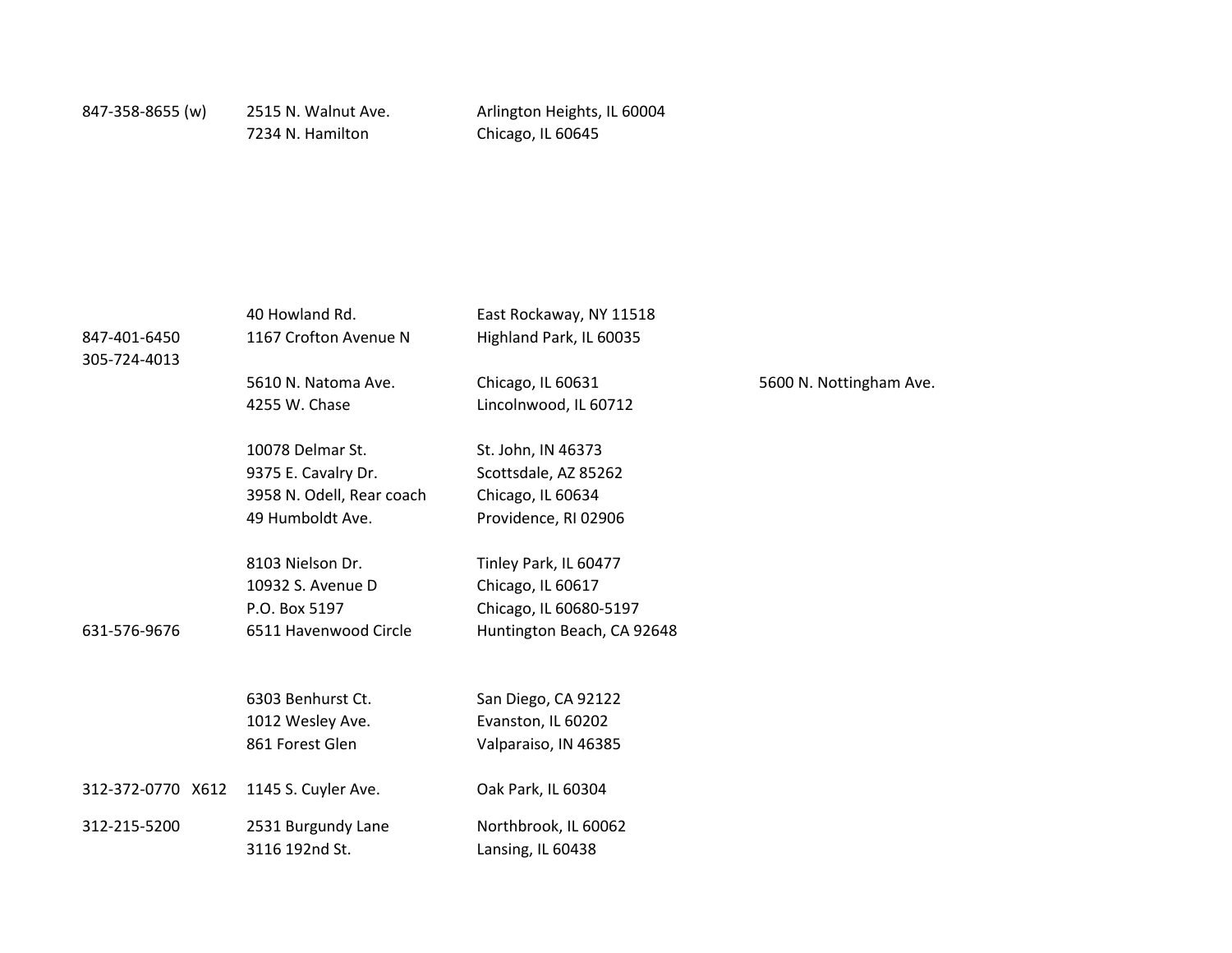| 847-401-6450<br>305-724-4013 | 40 Howland Rd.<br>1167 Crofton Avenue N                                                  | East Rockaway, NY 11518<br>Highland Park, IL 60035                                                 |                         |
|------------------------------|------------------------------------------------------------------------------------------|----------------------------------------------------------------------------------------------------|-------------------------|
|                              | 5610 N. Natoma Ave.<br>4255 W. Chase                                                     | Chicago, IL 60631<br>Lincolnwood, IL 60712                                                         | 5600 N. Nottingham Ave. |
|                              | 10078 Delmar St.<br>9375 E. Cavalry Dr.<br>3958 N. Odell, Rear coach<br>49 Humboldt Ave. | St. John, IN 46373<br>Scottsdale, AZ 85262<br>Chicago, IL 60634<br>Providence, RI 02906            |                         |
| 631-576-9676                 | 8103 Nielson Dr.<br>10932 S. Avenue D<br>P.O. Box 5197<br>6511 Havenwood Circle          | Tinley Park, IL 60477<br>Chicago, IL 60617<br>Chicago, IL 60680-5197<br>Huntington Beach, CA 92648 |                         |
|                              | 6303 Benhurst Ct.<br>1012 Wesley Ave.<br>861 Forest Glen                                 | San Diego, CA 92122<br>Evanston, IL 60202<br>Valparaiso, IN 46385                                  |                         |
| 312-372-0770 X612            | 1145 S. Cuyler Ave.                                                                      | Oak Park, IL 60304                                                                                 |                         |
| 312-215-5200                 | 2531 Burgundy Lane<br>3116 192nd St.                                                     | Northbrook, IL 60062<br>Lansing, IL 60438                                                          |                         |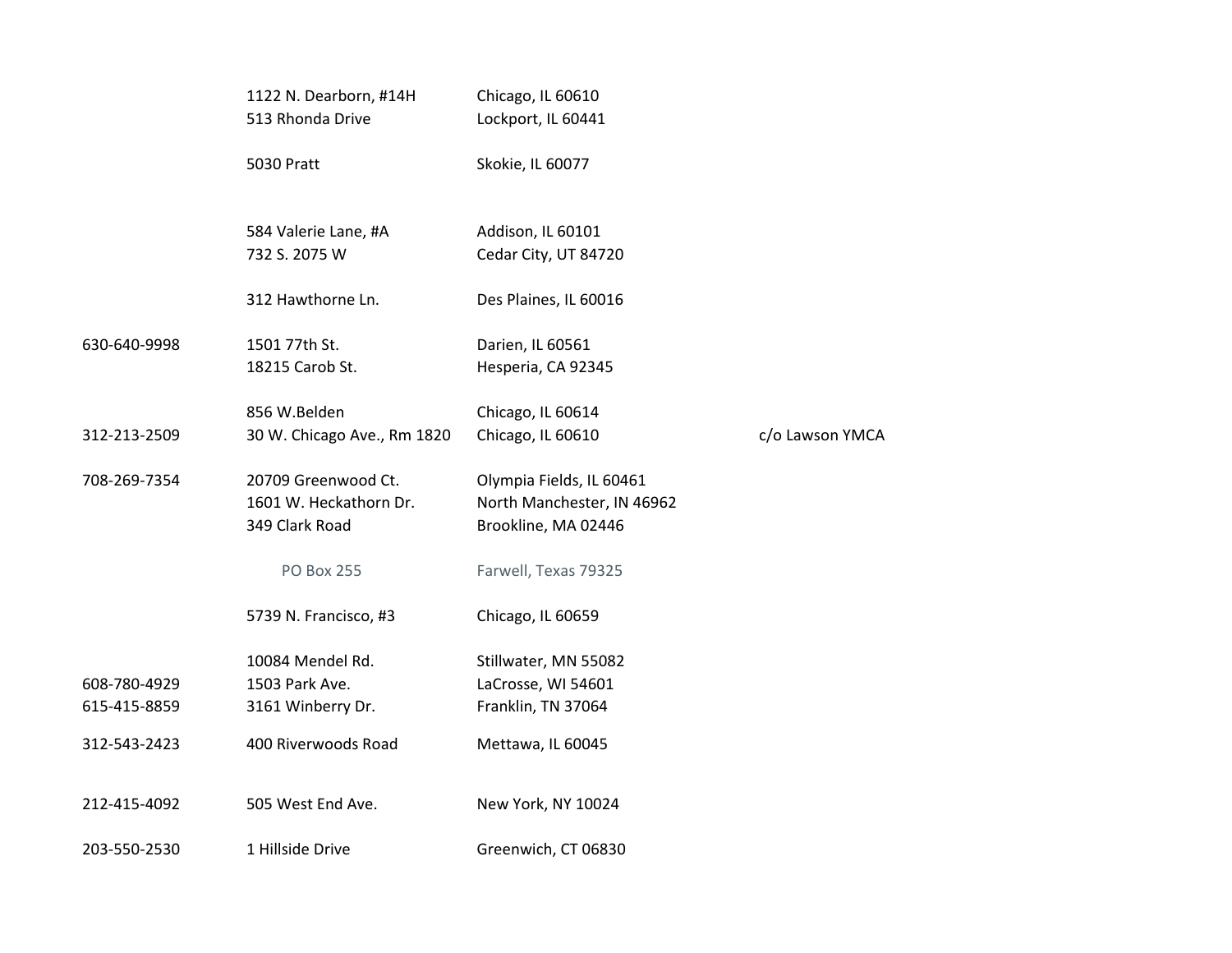|                              | 1122 N. Dearborn, #14H<br>513 Rhonda Drive                      | Chicago, IL 60610<br>Lockport, IL 60441                                       |                 |
|------------------------------|-----------------------------------------------------------------|-------------------------------------------------------------------------------|-----------------|
|                              | <b>5030 Pratt</b>                                               | Skokie, IL 60077                                                              |                 |
|                              | 584 Valerie Lane, #A<br>732 S. 2075 W                           | Addison, IL 60101<br>Cedar City, UT 84720                                     |                 |
|                              | 312 Hawthorne Ln.                                               | Des Plaines, IL 60016                                                         |                 |
| 630-640-9998                 | 1501 77th St.<br>18215 Carob St.                                | Darien, IL 60561<br>Hesperia, CA 92345                                        |                 |
| 312-213-2509                 | 856 W.Belden<br>30 W. Chicago Ave., Rm 1820                     | Chicago, IL 60614<br>Chicago, IL 60610                                        | c/o Lawson YMCA |
| 708-269-7354                 | 20709 Greenwood Ct.<br>1601 W. Heckathorn Dr.<br>349 Clark Road | Olympia Fields, IL 60461<br>North Manchester, IN 46962<br>Brookline, MA 02446 |                 |
|                              | <b>PO Box 255</b>                                               | Farwell, Texas 79325                                                          |                 |
|                              | 5739 N. Francisco, #3                                           | Chicago, IL 60659                                                             |                 |
| 608-780-4929<br>615-415-8859 | 10084 Mendel Rd.<br>1503 Park Ave.<br>3161 Winberry Dr.         | Stillwater, MN 55082<br>LaCrosse, WI 54601<br>Franklin, TN 37064              |                 |
| 312-543-2423                 | 400 Riverwoods Road                                             | Mettawa, IL 60045                                                             |                 |
| 212-415-4092                 | 505 West End Ave.                                               | New York, NY 10024                                                            |                 |
| 203-550-2530                 | 1 Hillside Drive                                                | Greenwich, CT 06830                                                           |                 |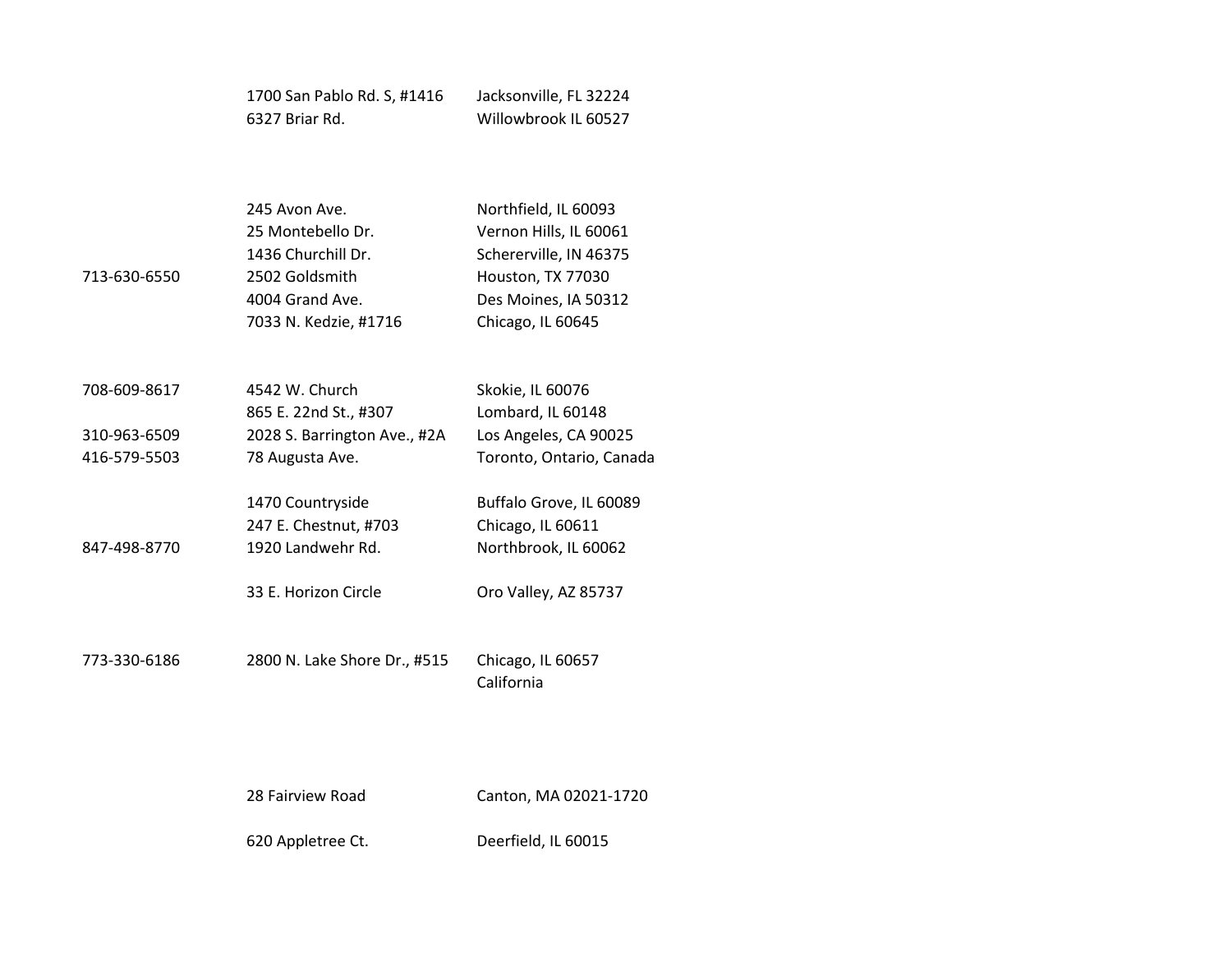| 1700 San Pablo Rd. S, #1416 | Jacksonville, FL 32224 |
|-----------------------------|------------------------|
| 6327 Briar Rd.              | Willowbrook IL 60527   |

| 713-630-6550 | 245 Avon Ave.<br>25 Montebello Dr.<br>1436 Churchill Dr.<br>2502 Goldsmith<br>4004 Grand Ave.<br>7033 N. Kedzie, #1716 | Northfield, IL 60093<br>Vernon Hills, IL 60061<br>Schererville, IN 46375<br>Houston, TX 77030<br>Des Moines, IA 50312<br>Chicago, IL 60645 |
|--------------|------------------------------------------------------------------------------------------------------------------------|--------------------------------------------------------------------------------------------------------------------------------------------|
| 708-609-8617 | 4542 W. Church<br>865 E. 22nd St., #307                                                                                | Skokie, IL 60076<br>Lombard, IL 60148                                                                                                      |
| 310-963-6509 | 2028 S. Barrington Ave., #2A                                                                                           | Los Angeles, CA 90025                                                                                                                      |
| 416-579-5503 | 78 Augusta Ave.                                                                                                        | Toronto, Ontario, Canada                                                                                                                   |
| 847-498-8770 | 1470 Countryside<br>247 E. Chestnut, #703<br>1920 Landwehr Rd.                                                         | Buffalo Grove, IL 60089<br>Chicago, IL 60611<br>Northbrook, IL 60062                                                                       |
|              | 33 E. Horizon Circle                                                                                                   | Oro Valley, AZ 85737                                                                                                                       |
|              |                                                                                                                        |                                                                                                                                            |

773-330-6186 2800 N. Lake Shore Dr., #515 Chicago, IL 60657 California

28 Fairview Road Canton, MA 02021-1720

620 Appletree Ct. Deerfield, IL 60015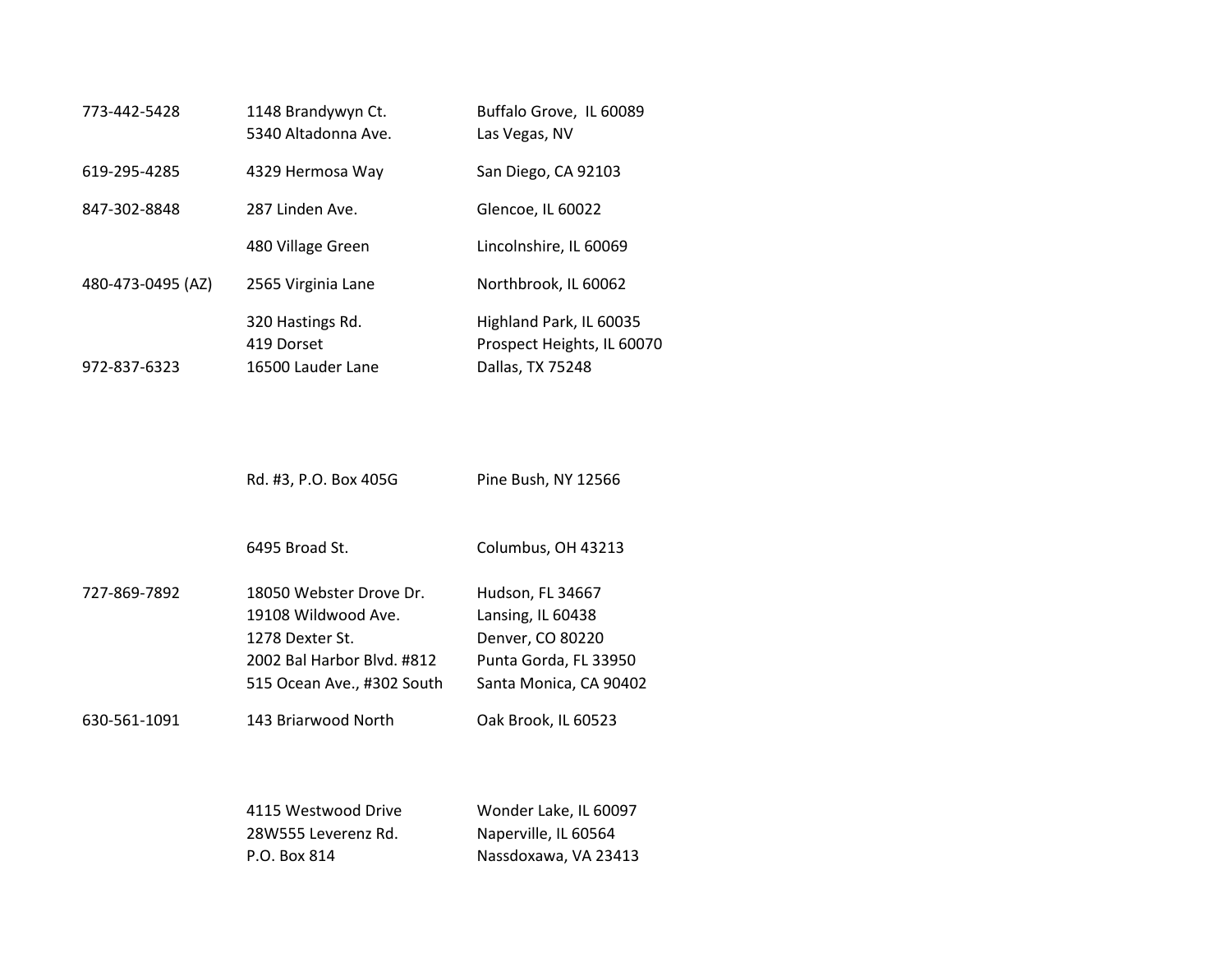| 1148 Brandywyn Ct.<br>5340 Altadonna Ave.           | Buffalo Grove, IL 60089<br>Las Vegas, NV                                  |
|-----------------------------------------------------|---------------------------------------------------------------------------|
| 4329 Hermosa Way                                    | San Diego, CA 92103                                                       |
| 287 Linden Ave.                                     | Glencoe, IL 60022                                                         |
| 480 Village Green                                   | Lincolnshire, IL 60069                                                    |
| 2565 Virginia Lane                                  | Northbrook, IL 60062                                                      |
| 320 Hastings Rd.<br>419 Dorset<br>16500 Lauder Lane | Highland Park, IL 60035<br>Prospect Heights, IL 60070<br>Dallas, TX 75248 |
|                                                     |                                                                           |

Rd. #3, P.O. Box 405G Pine Bush, NY 12566

6495 Broad St. Columbus, OH 43213

| 727-869-7892 | 18050 Webster Drove Dr.    | Hudson, FL 34667       |
|--------------|----------------------------|------------------------|
|              | 19108 Wildwood Ave.        | Lansing, IL 60438      |
|              | 1278 Dexter St.            | Denver, CO 80220       |
|              | 2002 Bal Harbor Blvd. #812 | Punta Gorda, FL 33950  |
|              | 515 Ocean Ave., #302 South | Santa Monica, CA 90402 |
|              |                            |                        |

630-561-1091 143 Briarwood North Oak Brook, IL 60523

| 4115 Westwood Drive | Wonder Lake, IL 60097 |
|---------------------|-----------------------|
| 28W555 Leverenz Rd. | Naperville, IL 60564  |
| P.O. Box 814        | Nassdoxawa, VA 23413  |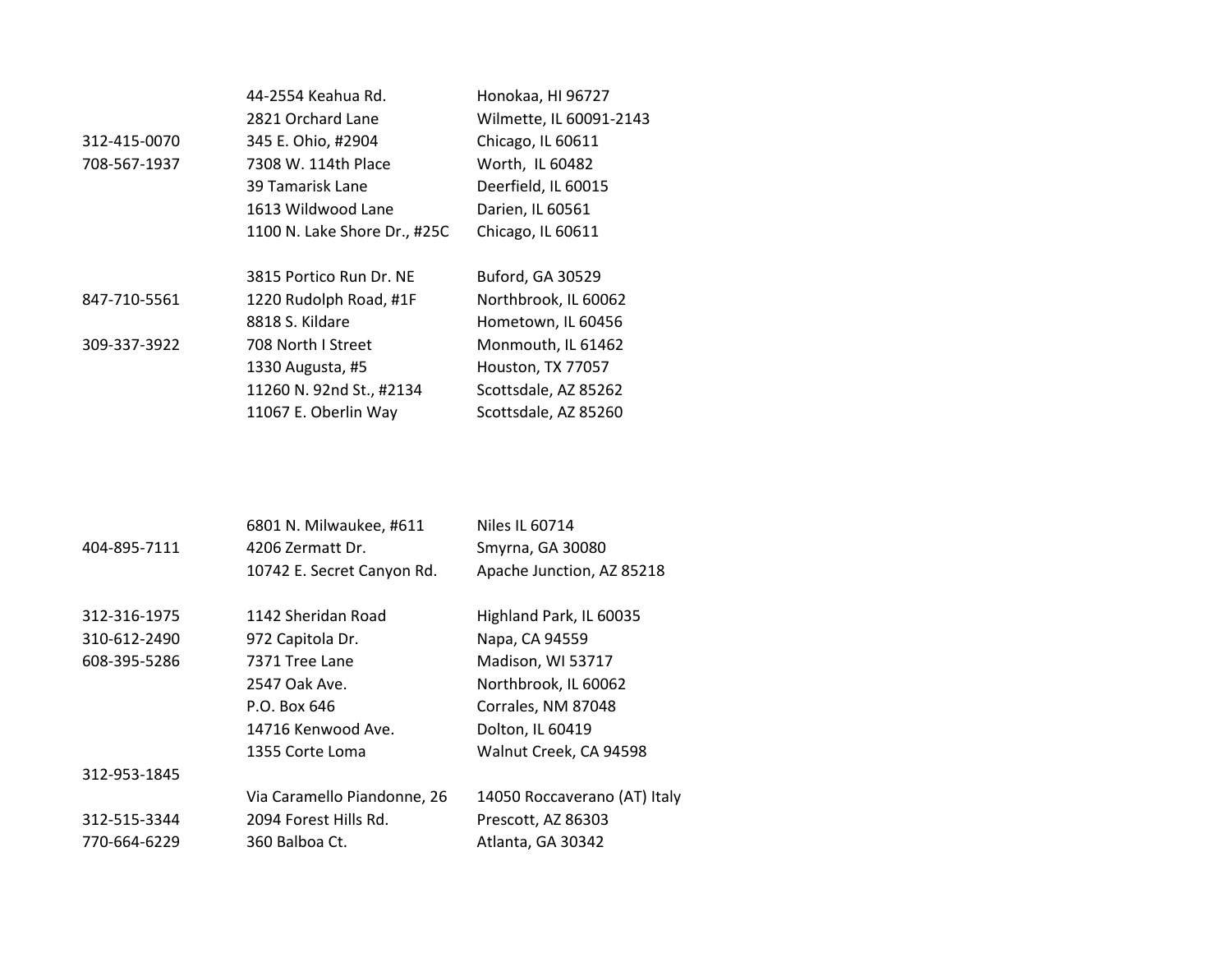|              | 44-2554 Keahua Rd.           | Honokaa, HI 96727       |
|--------------|------------------------------|-------------------------|
|              | 2821 Orchard Lane            | Wilmette, IL 60091-2143 |
| 312-415-0070 | 345 E. Ohio, #2904           | Chicago, IL 60611       |
| 708-567-1937 | 7308 W. 114th Place          | Worth, IL 60482         |
|              | 39 Tamarisk Lane             | Deerfield, IL 60015     |
|              | 1613 Wildwood Lane           | Darien, IL 60561        |
|              | 1100 N. Lake Shore Dr., #25C | Chicago, IL 60611       |
|              |                              |                         |
|              | 3815 Portico Run Dr. NE      | Buford, GA 30529        |
| 847-710-5561 | 1220 Rudolph Road, #1F       | Northbrook, IL 60062    |
|              | 8818 S. Kildare              | Hometown, IL 60456      |
| 309-337-3922 | 708 North I Street           | Monmouth, IL 61462      |
|              | 1330 Augusta, #5             | Houston, TX 77057       |
|              | 11260 N. 92nd St., #2134     | Scottsdale, AZ 85262    |
|              | 11067 E. Oberlin Way         | Scottsdale, AZ 85260    |

# 6801 N. Milwaukee, #611 Niles IL 60714 404-895-7111 4206 Zermatt Dr. Smyrna, GA 30080 10742 E. Secret Canyon Rd. Apache Junction, AZ 85218 312-316-1975 1142 Sheridan Road Highland Park, IL 60035 310-612-2490 972 Capitola Dr. Napa, CA 94559 608-395-5286 7371 Tree Lane Madison, WI 53717 2547 Oak Ave. Northbrook, IL 60062 P.O. Box 646 Corrales, NM 87048 14716 Kenwood Ave. Dolton, IL 60419 1355 Corte Loma Walnut Creek, CA 94598 312-953-1845 Via Caramello Piandonne, 26 14050 Roccaverano (AT) Italy 312-515-3344 2094 Forest Hills Rd. Prescott, AZ 86303 770-664-6229 360 Balboa Ct. Atlanta, GA 30342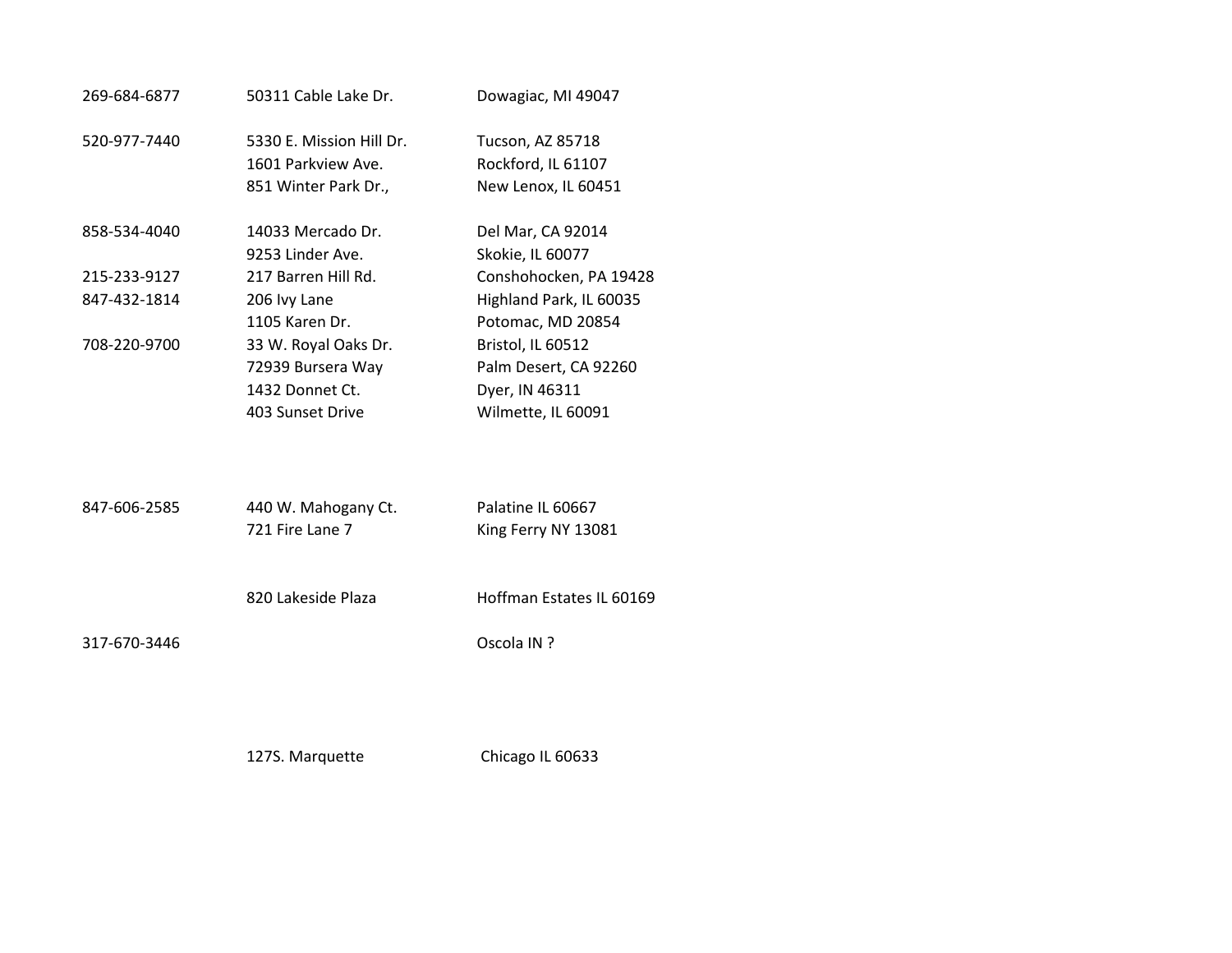| 269-684-6877 | 50311 Cable Lake Dr.                                                             | Dowagiac, MI 49047                                                                 |
|--------------|----------------------------------------------------------------------------------|------------------------------------------------------------------------------------|
| 520-977-7440 | 5330 E. Mission Hill Dr.<br>1601 Parkview Ave.<br>851 Winter Park Dr.,           | Tucson, AZ 85718<br>Rockford, IL 61107<br>New Lenox, IL 60451                      |
| 858-534-4040 | 14033 Mercado Dr.<br>9253 Linder Ave.                                            | Del Mar, CA 92014<br>Skokie, IL 60077                                              |
| 215-233-9127 | 217 Barren Hill Rd.                                                              | Conshohocken, PA 19428                                                             |
| 847-432-1814 | 206 Ivy Lane<br>1105 Karen Dr.                                                   | Highland Park, IL 60035<br>Potomac, MD 20854                                       |
| 708-220-9700 | 33 W. Royal Oaks Dr.<br>72939 Bursera Way<br>1432 Donnet Ct.<br>403 Sunset Drive | Bristol, IL 60512<br>Palm Desert, CA 92260<br>Dyer, IN 46311<br>Wilmette, IL 60091 |
| 847-606-2585 | 440 W. Mahogany Ct.<br>721 Fire Lane 7                                           | Palatine IL 60667<br>King Ferry NY 13081                                           |
|              | 820 Lakeside Plaza                                                               | Hoffman Estates IL 60169                                                           |
| 317-670-3446 |                                                                                  | Oscola IN ?                                                                        |

127S. Marquette Chicago IL 60633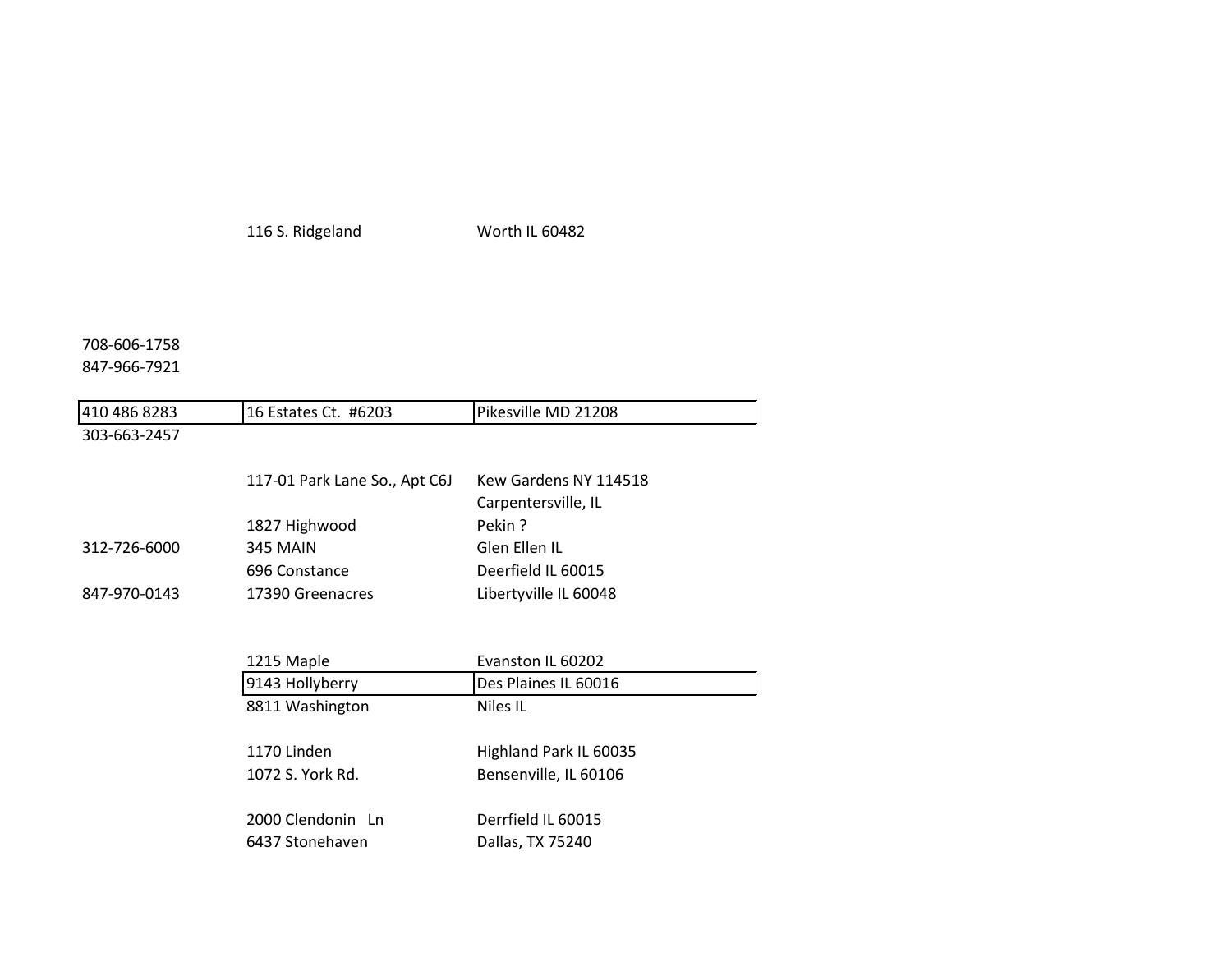116 S. Ridgeland Worth IL 60482

# 708-606-1758

# 847-966-7921

| 410 486 8283 | 16 Estates Ct. #6203          | Pikesville MD 21208    |
|--------------|-------------------------------|------------------------|
| 303-663-2457 |                               |                        |
|              | 117-01 Park Lane So., Apt C6J | Kew Gardens NY 114518  |
|              |                               | Carpentersville, IL    |
|              | 1827 Highwood                 | Pekin?                 |
| 312-726-6000 | <b>345 MAIN</b>               | Glen Ellen IL          |
|              | 696 Constance                 | Deerfield IL 60015     |
| 847-970-0143 | 17390 Greenacres              | Libertyville IL 60048  |
|              |                               |                        |
|              | 1215 Maple                    | Evanston IL 60202      |
|              | 9143 Hollyberry               | Des Plaines IL 60016   |
|              | 8811 Washington               | Niles IL               |
|              | 1170 Linden                   | Highland Park IL 60035 |
|              | 1072 S. York Rd.              | Bensenville, IL 60106  |
|              | 2000 Clendonin Ln             | Derrfield IL 60015     |
|              | 6437 Stonehaven               | Dallas, TX 75240       |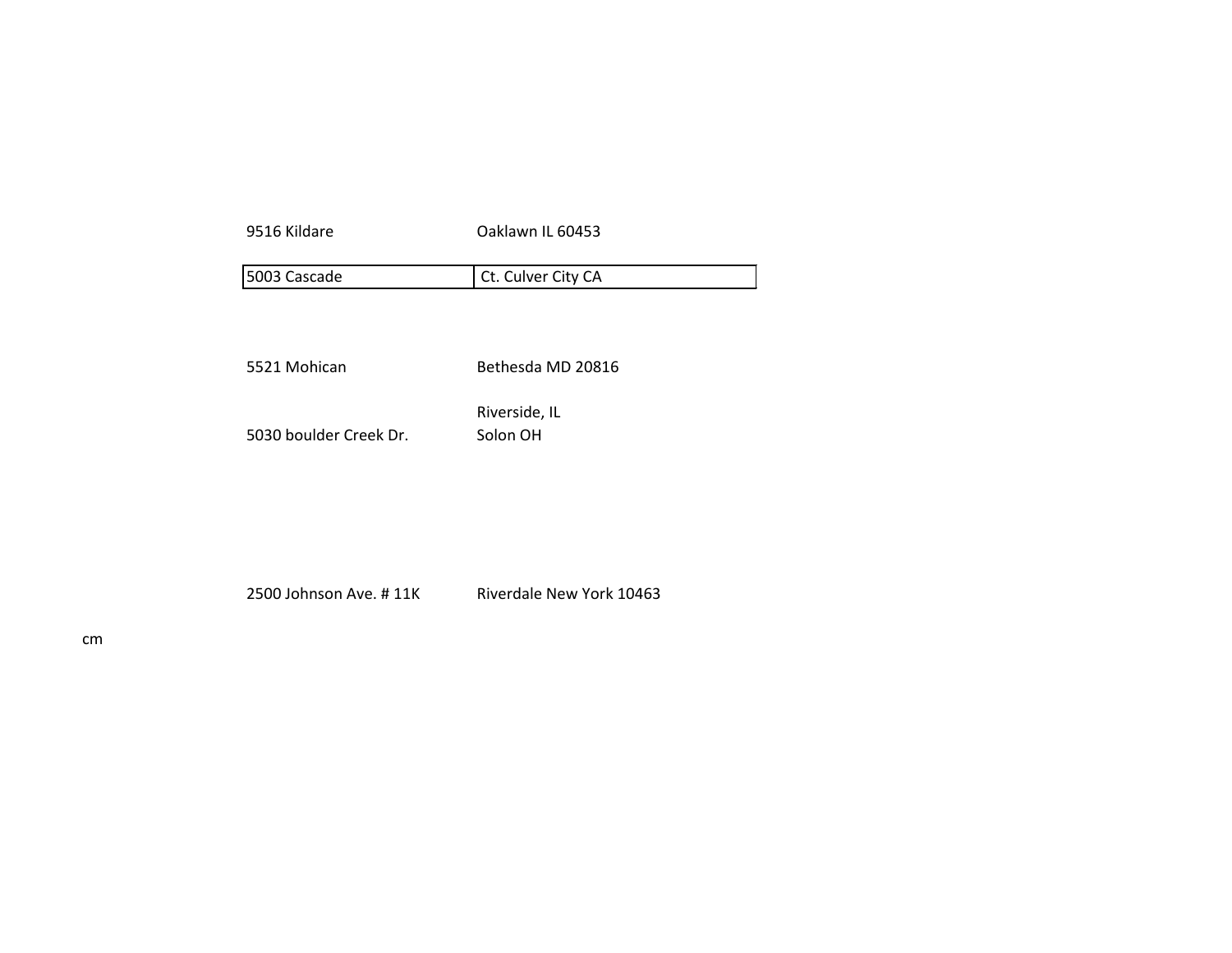| Oaklawn IL 60453          |
|---------------------------|
| Ct. Culver City CA        |
| Bethesda MD 20816         |
| Riverside, IL<br>Solon OH |
|                           |

2500 Johnson Ave. #11K Riverdale New York 10463

cm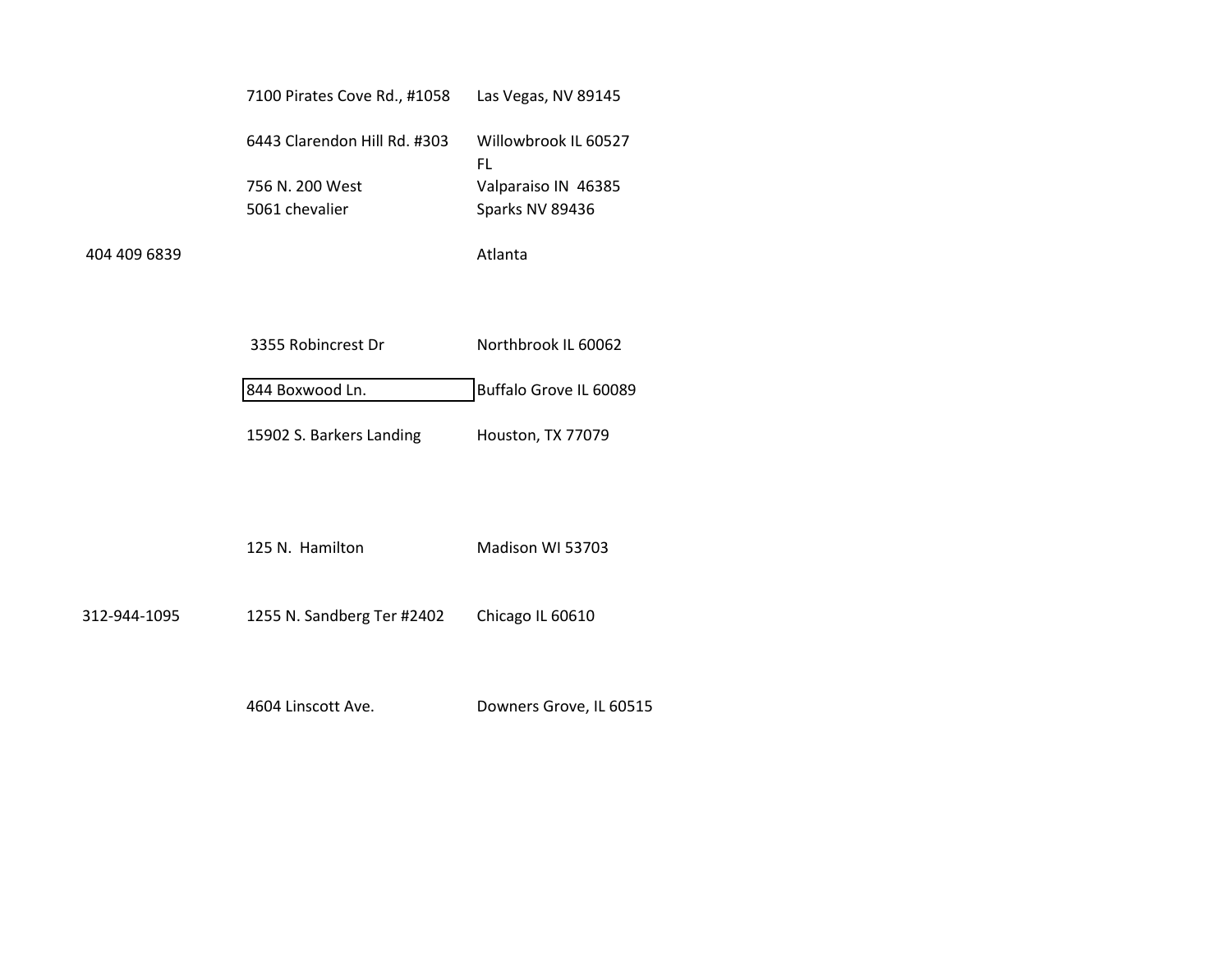|              | 7100 Pirates Cove Rd., #1058 | Las Vegas, NV 89145        |
|--------------|------------------------------|----------------------------|
|              | 6443 Clarendon Hill Rd. #303 | Willowbrook IL 60527<br>FL |
|              | 756 N. 200 West              | Valparaiso IN 46385        |
|              | 5061 chevalier               | Sparks NV 89436            |
| 404 409 6839 |                              | Atlanta                    |

| 3355 Robincrest Dr       | Northbrook IL 60062    |
|--------------------------|------------------------|
| 844 Boxwood Ln.          | Buffalo Grove IL 60089 |
| 15902 S. Barkers Landing | Houston, TX 77079      |

125 N. Hamilton Madison WI 53703

312-944-1095 1255 N. Sandberg Ter #2402 Chicago IL 60610

4604 Linscott Ave. Downers Grove, IL 60515